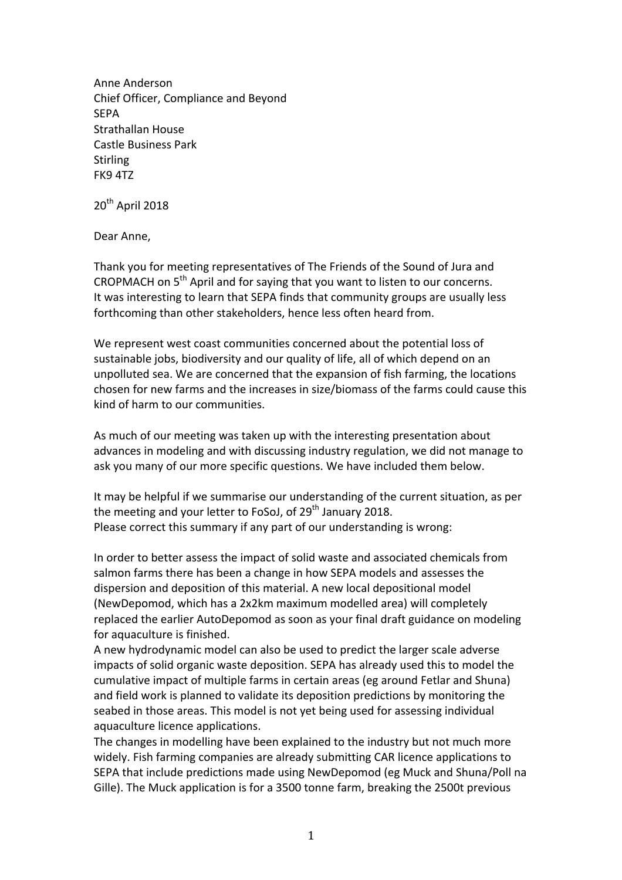Anne Anderson Chief Officer, Compliance and Beyond **SEPA** Strathallan House Castle Business Park **Stirling** FK9 4TZ

20<sup>th</sup> April 2018

Dear Anne,

Thank you for meeting representatives of The Friends of the Sound of Jura and CROPMACH on 5<sup>th</sup> April and for saying that you want to listen to our concerns. It was interesting to learn that SEPA finds that community groups are usually less forthcoming than other stakeholders, hence less often heard from.

We represent west coast communities concerned about the potential loss of sustainable jobs, biodiversity and our quality of life, all of which depend on an unpolluted sea. We are concerned that the expansion of fish farming, the locations chosen for new farms and the increases in size/biomass of the farms could cause this kind of harm to our communities.

As much of our meeting was taken up with the interesting presentation about advances in modeling and with discussing industry regulation, we did not manage to ask you many of our more specific questions. We have included them below.

It may be helpful if we summarise our understanding of the current situation, as per the meeting and your letter to FoSoJ, of  $29<sup>th</sup>$  January 2018. Please correct this summary if any part of our understanding is wrong:

In order to better assess the impact of solid waste and associated chemicals from salmon farms there has been a change in how SEPA models and assesses the dispersion and deposition of this material. A new local depositional model (NewDepomod, which has a 2x2km maximum modelled area) will completely replaced the earlier AutoDepomod as soon as your final draft guidance on modeling for aquaculture is finished.

A new hydrodynamic model can also be used to predict the larger scale adverse impacts of solid organic waste deposition. SEPA has already used this to model the cumulative impact of multiple farms in certain areas (eg around Fetlar and Shuna) and field work is planned to validate its deposition predictions by monitoring the seabed in those areas. This model is not yet being used for assessing individual aquaculture licence applications.

The changes in modelling have been explained to the industry but not much more widely. Fish farming companies are already submitting CAR licence applications to SEPA that include predictions made using NewDepomod (eg Muck and Shuna/Poll na Gille). The Muck application is for a 3500 tonne farm, breaking the 2500t previous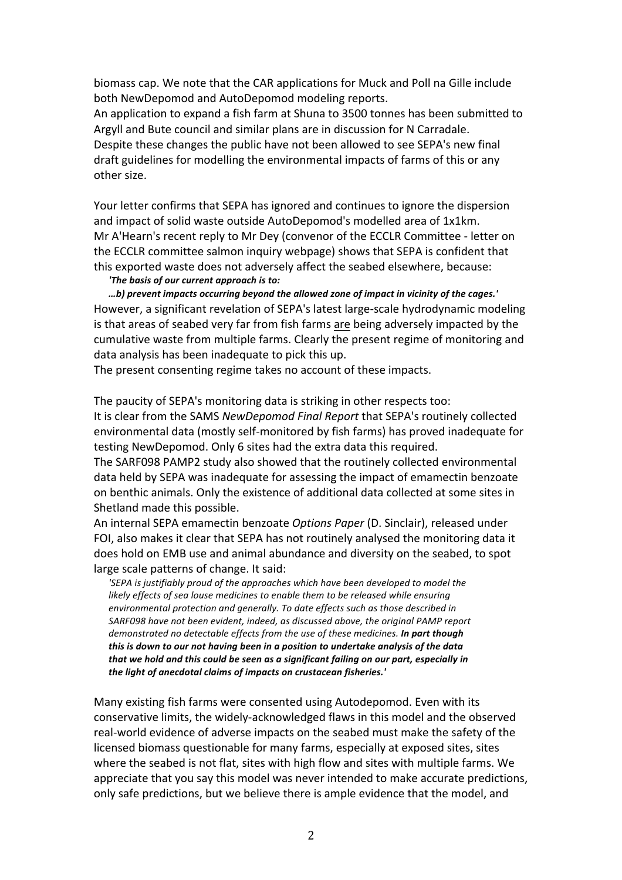biomass cap. We note that the CAR applications for Muck and Poll na Gille include both NewDepomod and AutoDepomod modeling reports.

An application to expand a fish farm at Shuna to 3500 tonnes has been submitted to Argyll and Bute council and similar plans are in discussion for N Carradale. Despite these changes the public have not been allowed to see SEPA's new final draft guidelines for modelling the environmental impacts of farms of this or any other size.

Your letter confirms that SEPA has ignored and continues to ignore the dispersion and impact of solid waste outside AutoDepomod's modelled area of 1x1km. Mr A'Hearn's recent reply to Mr Dey (convenor of the ECCLR Committee - letter on the ECCLR committee salmon inquiry webpage) shows that SEPA is confident that this exported waste does not adversely affect the seabed elsewhere, because:

#### *'The basis of our current approach is to:*

*…b) prevent impacts occurring beyond the allowed zone of impact in vicinity of the cages.'* However, a significant revelation of SEPA's latest large-scale hydrodynamic modeling is that areas of seabed very far from fish farms are being adversely impacted by the cumulative waste from multiple farms. Clearly the present regime of monitoring and data analysis has been inadequate to pick this up.

The present consenting regime takes no account of these impacts.

The paucity of SEPA's monitoring data is striking in other respects too: It is clear from the SAMS *NewDepomod Final Report* that SEPA's routinely collected environmental data (mostly self-monitored by fish farms) has proved inadequate for testing NewDepomod. Only 6 sites had the extra data this required.

The SARF098 PAMP2 study also showed that the routinely collected environmental data held by SEPA was inadequate for assessing the impact of emamectin benzoate on benthic animals. Only the existence of additional data collected at some sites in Shetland made this possible.

An internal SEPA emamectin benzoate *Options Paper* (D. Sinclair), released under FOI, also makes it clear that SEPA has not routinely analysed the monitoring data it does hold on EMB use and animal abundance and diversity on the seabed, to spot large scale patterns of change. It said:

*'SEPA is justifiably proud of the approaches which have been developed to model the likely effects of sea louse medicines to enable them to be released while ensuring environmental protection and generally. To date effects such as those described in*  SARF098 have not been evident, indeed, as discussed above, the original PAMP report *demonstrated no detectable effects from the use of these medicines. In part though this is down to our not having been in a position to undertake analysis of the data* that we hold and this could be seen as a significant failing on our part, especially in the light of anecdotal claims of impacts on crustacean fisheries.'

Many existing fish farms were consented using Autodepomod. Even with its conservative limits, the widely-acknowledged flaws in this model and the observed real-world evidence of adverse impacts on the seabed must make the safety of the licensed biomass questionable for many farms, especially at exposed sites, sites where the seabed is not flat, sites with high flow and sites with multiple farms. We appreciate that you say this model was never intended to make accurate predictions, only safe predictions, but we believe there is ample evidence that the model, and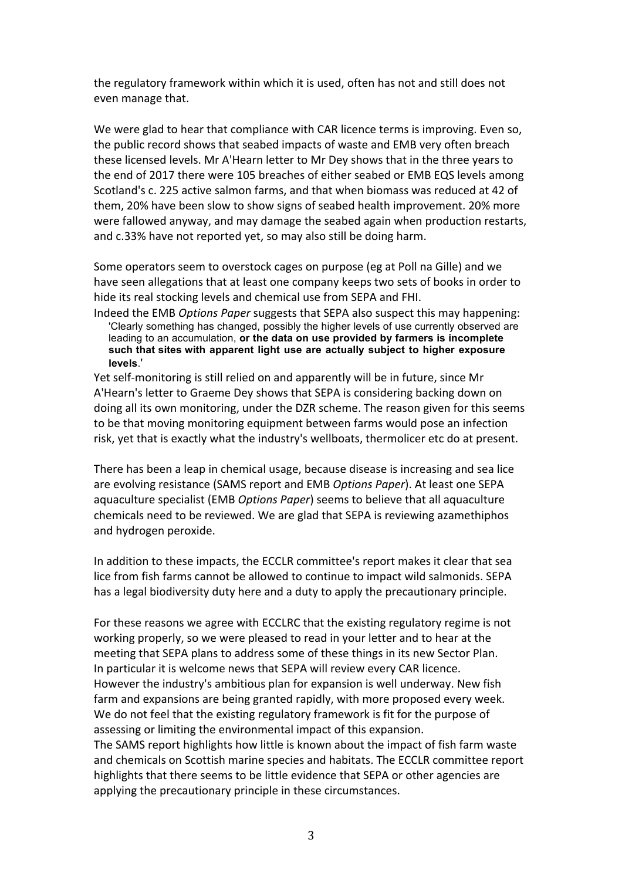the regulatory framework within which it is used, often has not and still does not even manage that.

We were glad to hear that compliance with CAR licence terms is improving. Even so, the public record shows that seabed impacts of waste and EMB very often breach these licensed levels. Mr A'Hearn letter to Mr Dey shows that in the three years to the end of 2017 there were 105 breaches of either seabed or EMB EQS levels among Scotland's c. 225 active salmon farms, and that when biomass was reduced at 42 of them, 20% have been slow to show signs of seabed health improvement. 20% more were fallowed anyway, and may damage the seabed again when production restarts, and c.33% have not reported yet, so may also still be doing harm.

Some operators seem to overstock cages on purpose (eg at Poll na Gille) and we have seen allegations that at least one company keeps two sets of books in order to hide its real stocking levels and chemical use from SEPA and FHI.

Indeed the EMB *Options Paper* suggests that SEPA also suspect this may happening: 'Clearly something has changed, possibly the higher levels of use currently observed are leading to an accumulation, **or the data on use provided by farmers is incomplete such that sites with apparent light use are actually subject to higher exposure levels**.'

Yet self-monitoring is still relied on and apparently will be in future, since Mr A'Hearn's letter to Graeme Dey shows that SEPA is considering backing down on doing all its own monitoring, under the DZR scheme. The reason given for this seems to be that moving monitoring equipment between farms would pose an infection risk, yet that is exactly what the industry's wellboats, thermolicer etc do at present.

There has been a leap in chemical usage, because disease is increasing and sea lice are evolving resistance (SAMS report and EMB *Options Paper*). At least one SEPA aquaculture specialist (EMB *Options Paper*) seems to believe that all aquaculture chemicals need to be reviewed. We are glad that SEPA is reviewing azamethiphos and hydrogen peroxide.

In addition to these impacts, the ECCLR committee's report makes it clear that sea lice from fish farms cannot be allowed to continue to impact wild salmonids. SEPA has a legal biodiversity duty here and a duty to apply the precautionary principle.

For these reasons we agree with ECCLRC that the existing regulatory regime is not working properly, so we were pleased to read in your letter and to hear at the meeting that SEPA plans to address some of these things in its new Sector Plan. In particular it is welcome news that SEPA will review every CAR licence. However the industry's ambitious plan for expansion is well underway. New fish farm and expansions are being granted rapidly, with more proposed every week. We do not feel that the existing regulatory framework is fit for the purpose of assessing or limiting the environmental impact of this expansion. The SAMS report highlights how little is known about the impact of fish farm waste and chemicals on Scottish marine species and habitats. The ECCLR committee report highlights that there seems to be little evidence that SEPA or other agencies are applying the precautionary principle in these circumstances.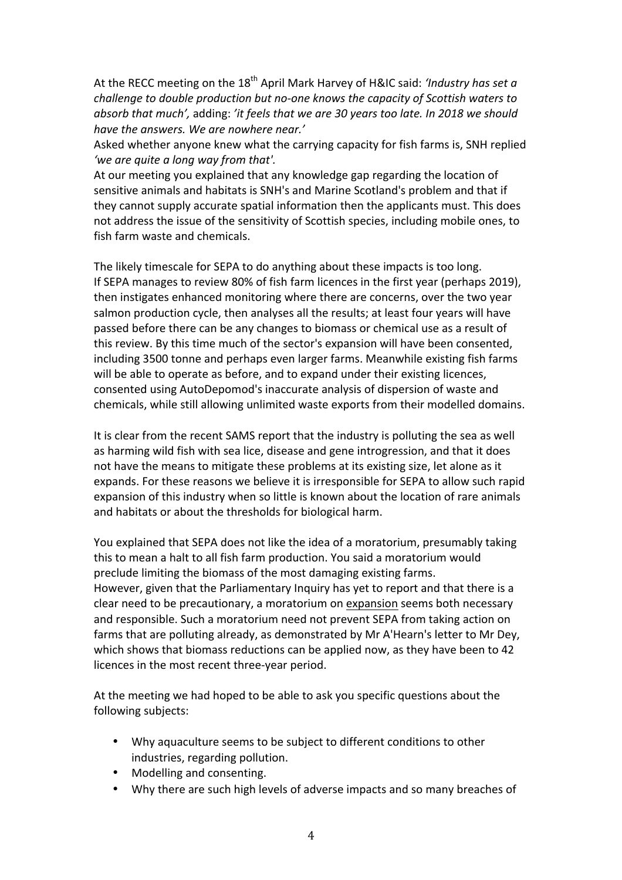At the RECC meeting on the 18<sup>th</sup> April Mark Harvey of H&IC said: *'Industry has set a challenge to double production but no-one knows the capacity of Scottish waters to absorb* that much', adding: 'it feels that we are 30 years too late. In 2018 we should have the answers. We are nowhere near.'

Asked whether anyone knew what the carrying capacity for fish farms is, SNH replied 'we are quite a long way from that'.

At our meeting you explained that any knowledge gap regarding the location of sensitive animals and habitats is SNH's and Marine Scotland's problem and that if they cannot supply accurate spatial information then the applicants must. This does not address the issue of the sensitivity of Scottish species, including mobile ones, to fish farm waste and chemicals.

The likely timescale for SEPA to do anything about these impacts is too long. If SEPA manages to review 80% of fish farm licences in the first year (perhaps 2019), then instigates enhanced monitoring where there are concerns, over the two year salmon production cycle, then analyses all the results; at least four years will have passed before there can be any changes to biomass or chemical use as a result of this review. By this time much of the sector's expansion will have been consented, including 3500 tonne and perhaps even larger farms. Meanwhile existing fish farms will be able to operate as before, and to expand under their existing licences, consented using AutoDepomod's inaccurate analysis of dispersion of waste and chemicals, while still allowing unlimited waste exports from their modelled domains.

It is clear from the recent SAMS report that the industry is polluting the sea as well as harming wild fish with sea lice, disease and gene introgression, and that it does not have the means to mitigate these problems at its existing size, let alone as it expands. For these reasons we believe it is irresponsible for SEPA to allow such rapid expansion of this industry when so little is known about the location of rare animals and habitats or about the thresholds for biological harm.

You explained that SEPA does not like the idea of a moratorium, presumably taking this to mean a halt to all fish farm production. You said a moratorium would preclude limiting the biomass of the most damaging existing farms. However, given that the Parliamentary Inquiry has yet to report and that there is a clear need to be precautionary, a moratorium on expansion seems both necessary and responsible. Such a moratorium need not prevent SEPA from taking action on farms that are polluting already, as demonstrated by Mr A'Hearn's letter to Mr Dey, which shows that biomass reductions can be applied now, as they have been to 42 licences in the most recent three-year period.

At the meeting we had hoped to be able to ask you specific questions about the following subjects:

- Why aquaculture seems to be subject to different conditions to other industries, regarding pollution.
- Modelling and consenting.
- Why there are such high levels of adverse impacts and so many breaches of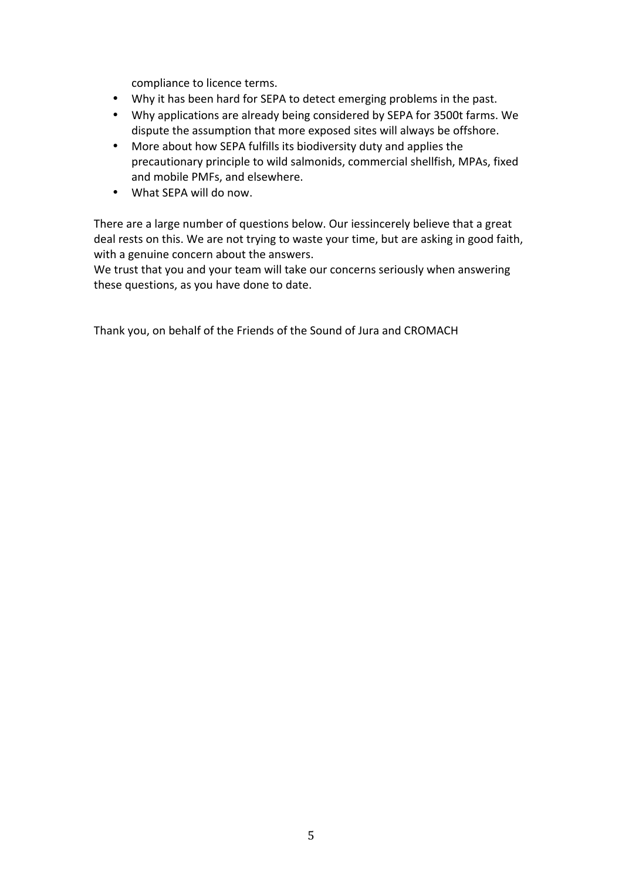compliance to licence terms.

- Why it has been hard for SEPA to detect emerging problems in the past.
- Why applications are already being considered by SEPA for 3500t farms. We dispute the assumption that more exposed sites will always be offshore.
- More about how SEPA fulfills its biodiversity duty and applies the precautionary principle to wild salmonids, commercial shellfish, MPAs, fixed and mobile PMFs, and elsewhere.
- What SFPA will do now.

There are a large number of questions below. Our iessincerely believe that a great deal rests on this. We are not trying to waste your time, but are asking in good faith, with a genuine concern about the answers.

We trust that you and your team will take our concerns seriously when answering these questions, as you have done to date.

Thank you, on behalf of the Friends of the Sound of Jura and CROMACH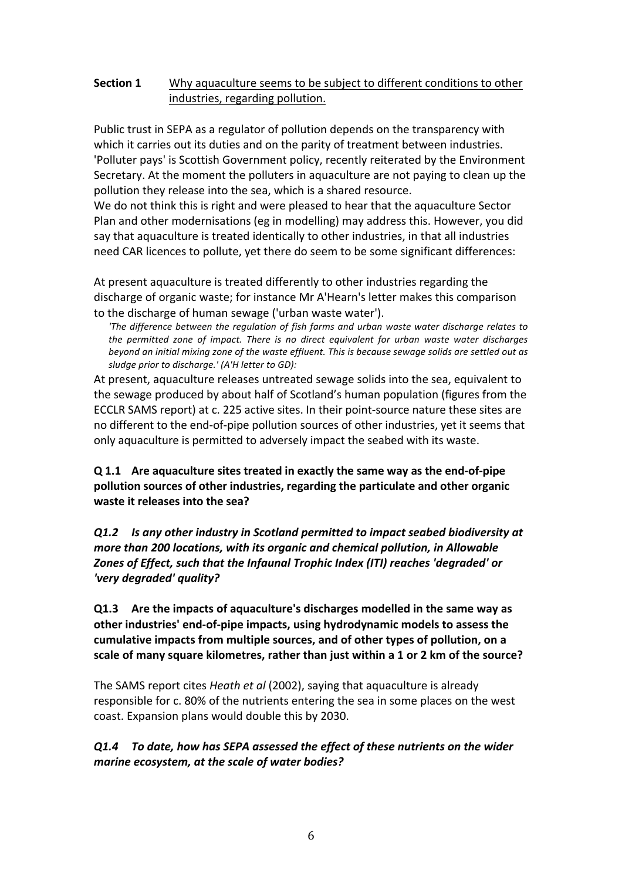# **Section 1** Why aquaculture seems to be subject to different conditions to other industries, regarding pollution.

Public trust in SEPA as a regulator of pollution depends on the transparency with which it carries out its duties and on the parity of treatment between industries. 'Polluter pays' is Scottish Government policy, recently reiterated by the Environment Secretary. At the moment the polluters in aquaculture are not paying to clean up the pollution they release into the sea, which is a shared resource.

We do not think this is right and were pleased to hear that the aquaculture Sector Plan and other modernisations (eg in modelling) may address this. However, you did say that aquaculture is treated identically to other industries, in that all industries need CAR licences to pollute, yet there do seem to be some significant differences:

At present aquaculture is treated differently to other industries regarding the discharge of organic waste; for instance Mr A'Hearn's letter makes this comparison to the discharge of human sewage ('urban waste water').

*'The difference between the regulation of fish farms and urban waste water discharge relates to*  the permitted zone of impact. There is no direct equivalent for urban waste water discharges *beyond an initial mixing zone of the waste effluent. This is because sewage solids are settled out as* sludge prior to discharge.' (A'H letter to GD):

At present, aquaculture releases untreated sewage solids into the sea, equivalent to the sewage produced by about half of Scotland's human population (figures from the ECCLR SAMS report) at c. 225 active sites. In their point-source nature these sites are no different to the end-of-pipe pollution sources of other industries, yet it seems that only aquaculture is permitted to adversely impact the seabed with its waste.

**Q 1.1** Are aquaculture sites treated in exactly the same way as the end-of-pipe pollution sources of other industries, regarding the particulate and other organic **waste it releases into the sea?** 

*Q1.2 Is any other industry in Scotland permitted to impact seabed biodiversity at more than 200 locations, with its organic and chemical pollution, in Allowable* Zones of Effect, such that the *Infaunal Trophic Index* (ITI) reaches 'degraded' or *'very degraded' quality?* 

**Q1.3** Are the impacts of aquaculture's discharges modelled in the same way as **other industries' end-of-pipe impacts, using hydrodynamic models to assess the** cumulative impacts from multiple sources, and of other types of pollution, on a scale of many square kilometres, rather than just within a 1 or 2 km of the source?

The SAMS report cites *Heath et al* (2002), saying that aquaculture is already responsible for c. 80% of the nutrients entering the sea in some places on the west coast. Expansion plans would double this by 2030.

*Q1.4 To date, how has SEPA assessed the effect of these nutrients on the wider marine ecosystem, at the scale of water bodies?*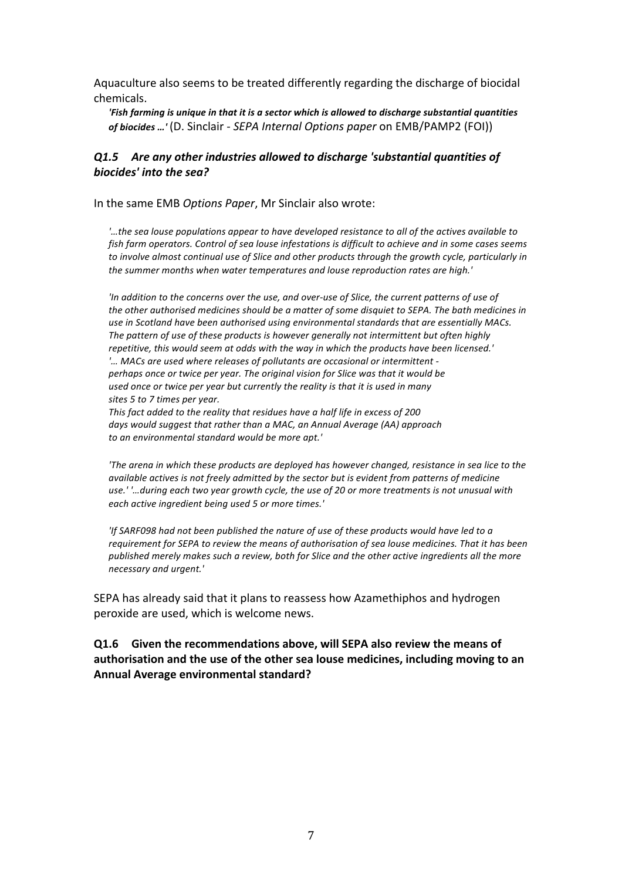Aquaculture also seems to be treated differently regarding the discharge of biocidal chemicals. 

'Fish farming is unique in that it is a sector which is allowed to discharge substantial quantities *of biocides ...'* (D. Sinclair - *SEPA Internal Options paper* on EMB/PAMP2 (FOI))

#### *Q1.5 Are any other industries allowed to discharge 'substantial quantities of* **biocides'** into the sea?

In the same EMB *Options Paper*, Mr Sinclair also wrote:

*'…the sea louse populations appear to have developed resistance to all of the actives available to fish farm operators. Control of sea louse infestations is difficult to achieve and in some cases seems* to involve almost continual use of Slice and other products through the growth cycle, particularly in the summer months when water temperatures and louse reproduction rates are high.'

'In addition to the concerns over the use, and over-use of Slice, the current patterns of use of *the* other authorised medicines should be a matter of some disquiet to SEPA. The bath medicines in use in Scotland have been authorised using environmental standards that are essentially MACs. The pattern of use of these products is however generally not intermittent but often highly repetitive, this would seem at odds with the way in which the products have been licensed.' *'… MACs are used where releases of pollutants are occasional or intermittent perhaps once or twice per year. The original vision for Slice was that it would be used once or twice per year but currently the reality is that it is used in many sites 5 to 7 times per year. This fact added to the reality that residues have a half life in excess of 200*

*days would suggest that rather than a MAC, an Annual Average (AA) approach to an environmental standard would be more apt.'*

*'The arena in which these products are deployed has however changed, resistance in sea lice to the available actives is not freely admitted by the sector but is evident from patterns of medicine* use.''...during each two year growth cycle, the use of 20 or more treatments is not unusual with *each active ingredient being used 5 or more times.'*

*'If* SARF098 had not been published the nature of use of these products would have led to a requirement for SEPA to review the means of authorisation of sea louse medicines. That it has been published merely makes such a review, both for Slice and the other active ingredients all the more *necessary and urgent.'*

SEPA has already said that it plans to reassess how Azamethiphos and hydrogen peroxide are used, which is welcome news.

**Q1.6** Given the recommendations above, will SEPA also review the means of authorisation and the use of the other sea louse medicines, including moving to an **Annual Average environmental standard?**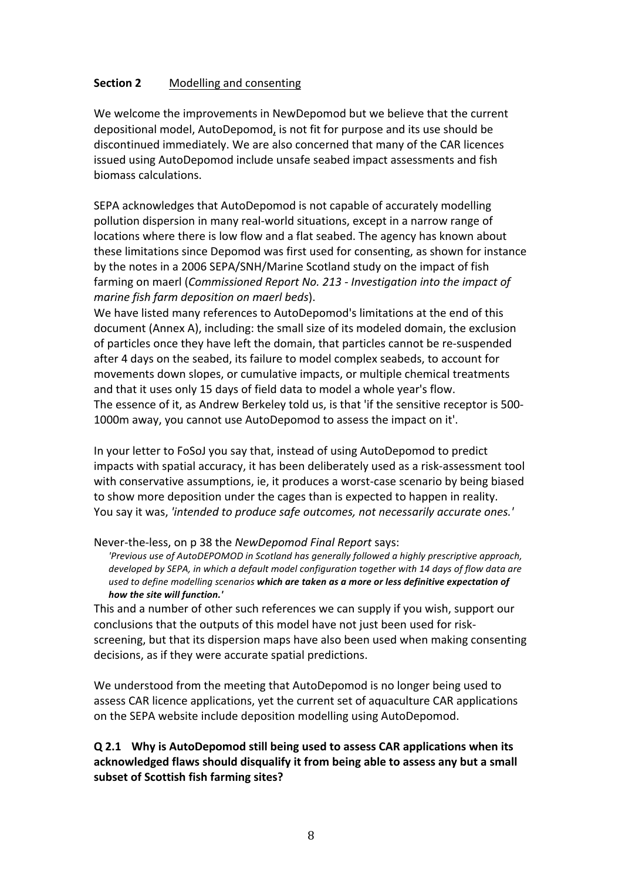#### **Section 2** Modelling and consenting

We welcome the improvements in NewDepomod but we believe that the current depositional model, AutoDepomod, is not fit for purpose and its use should be discontinued immediately. We are also concerned that many of the CAR licences issued using AutoDepomod include unsafe seabed impact assessments and fish biomass calculations.

SEPA acknowledges that AutoDepomod is not capable of accurately modelling pollution dispersion in many real-world situations, except in a narrow range of locations where there is low flow and a flat seabed. The agency has known about these limitations since Depomod was first used for consenting, as shown for instance by the notes in a 2006 SEPA/SNH/Marine Scotland study on the impact of fish farming on maerl (*Commissioned Report No. 213 - Investigation into the impact of marine fish farm deposition on maerl beds*).

We have listed many references to AutoDepomod's limitations at the end of this document (Annex A), including: the small size of its modeled domain, the exclusion of particles once they have left the domain, that particles cannot be re-suspended after 4 days on the seabed, its failure to model complex seabeds, to account for movements down slopes, or cumulative impacts, or multiple chemical treatments and that it uses only 15 days of field data to model a whole year's flow. The essence of it, as Andrew Berkeley told us, is that 'if the sensitive receptor is 500-1000m away, you cannot use AutoDepomod to assess the impact on it'.

In your letter to FoSoJ you say that, instead of using AutoDepomod to predict impacts with spatial accuracy, it has been deliberately used as a risk-assessment tool with conservative assumptions, ie, it produces a worst-case scenario by being biased to show more deposition under the cages than is expected to happen in reality. You say it was, 'intended to produce safe outcomes, not necessarily accurate ones.'

Never-the-less, on p 38 the *NewDepomod Final Report* says:

'Previous use of AutoDEPOMOD in Scotland has generally followed a highly prescriptive approach, developed by SEPA, in which a default model configuration together with 14 days of flow data are used to define modelling scenarios which are taken as a more or less definitive expectation of *how the site will function.'*

This and a number of other such references we can supply if you wish, support our conclusions that the outputs of this model have not just been used for riskscreening, but that its dispersion maps have also been used when making consenting decisions, as if they were accurate spatial predictions.

We understood from the meeting that AutoDepomod is no longer being used to assess CAR licence applications, yet the current set of aquaculture CAR applications on the SEPA website include deposition modelling using AutoDepomod.

# **Q** 2.1 Why is AutoDepomod still being used to assess CAR applications when its acknowledged flaws should disqualify it from being able to assess any but a small **subset of Scottish fish farming sites?**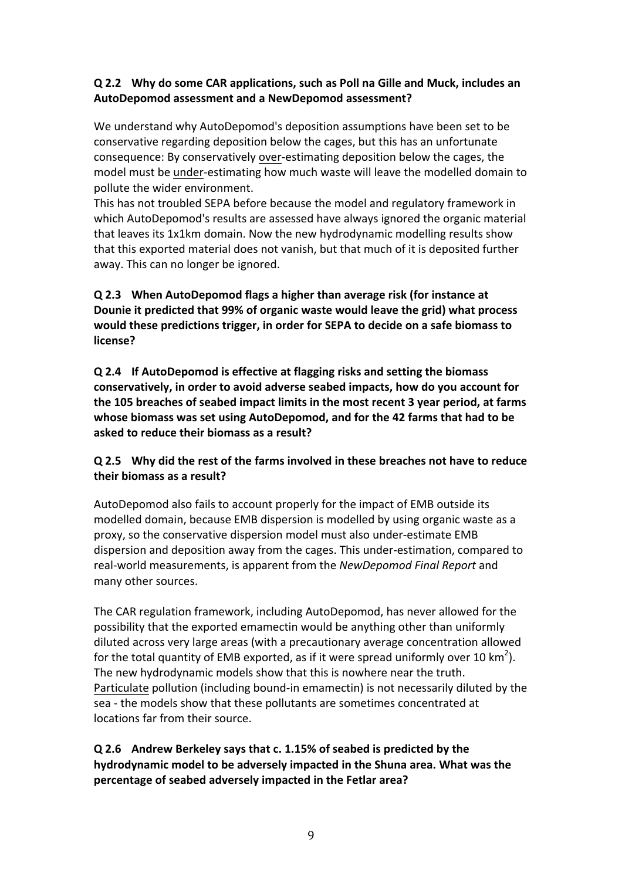# **Q 2.2 Why do some CAR applications, such as Poll na Gille and Muck, includes an**  AutoDepomod assessment and a NewDepomod assessment?

We understand why AutoDepomod's deposition assumptions have been set to be conservative regarding deposition below the cages, but this has an unfortunate consequence: By conservatively over-estimating deposition below the cages, the model must be under-estimating how much waste will leave the modelled domain to pollute the wider environment.

This has not troubled SEPA before because the model and regulatory framework in which AutoDepomod's results are assessed have always ignored the organic material that leaves its 1x1km domain. Now the new hydrodynamic modelling results show that this exported material does not vanish, but that much of it is deposited further away. This can no longer be ignored.

# **Q 2.3 When AutoDepomod flags a higher than average risk (for instance at**  Dounie it predicted that 99% of organic waste would leave the grid) what process **would these predictions trigger, in order for SEPA to decide on a safe biomass to license?**

**Q 2.4** If AutoDepomod is effective at flagging risks and setting the biomass conservatively, in order to avoid adverse seabed impacts, how do you account for the 105 breaches of seabed impact limits in the most recent 3 year period, at farms whose biomass was set using AutoDepomod, and for the 42 farms that had to be **asked to reduce their biomass as a result?** 

# **Q 2.5 Why did the rest of the farms involved in these breaches not have to reduce their biomass as a result?**

AutoDepomod also fails to account properly for the impact of EMB outside its modelled domain, because EMB dispersion is modelled by using organic waste as a proxy, so the conservative dispersion model must also under-estimate EMB dispersion and deposition away from the cages. This under-estimation, compared to real-world measurements, is apparent from the *NewDepomod Final Report* and many other sources.

The CAR regulation framework, including AutoDepomod, has never allowed for the possibility that the exported emamectin would be anything other than uniformly diluted across very large areas (with a precautionary average concentration allowed for the total quantity of EMB exported, as if it were spread uniformly over 10 km<sup>2</sup>). The new hydrodynamic models show that this is nowhere near the truth. Particulate pollution (including bound-in emamectin) is not necessarily diluted by the sea - the models show that these pollutants are sometimes concentrated at locations far from their source.

**Q 2.6 Andrew Berkeley says that c. 1.15% of seabed is predicted by the**  hydrodynamic model to be adversely impacted in the Shuna area. What was the **percentage of seabed adversely impacted in the Fetlar area?**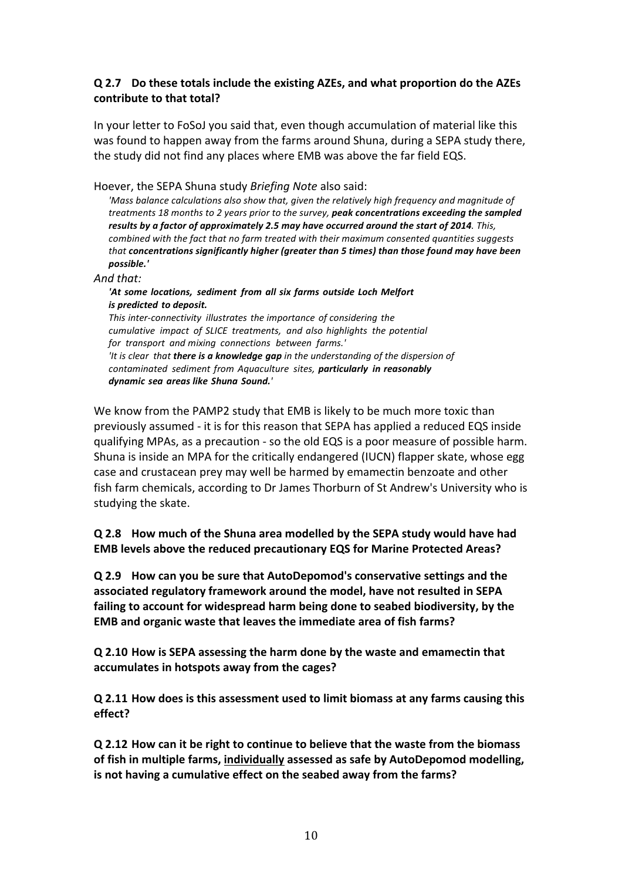### **Q** 2.7 Do these totals include the existing AZEs, and what proportion do the AZEs contribute to that total?

In your letter to FoSoJ you said that, even though accumulation of material like this was found to happen away from the farms around Shuna, during a SEPA study there, the study did not find any places where EMB was above the far field EQS.

Hoever, the SEPA Shuna study *Briefing Note* also said:

'Mass balance calculations also show that, given the relatively high frequency and magnitude of *treatments 18 months to 2 years prior to the survey, peak concentrations exceeding the sampled results by a factor of approximately 2.5 may have occurred around the start of 2014. This, combined with the fact that no farm treated with their maximum consented quantities suggests that* concentrations significantly higher (greater than 5 times) than those found may have been *possible.'*

*And that:*

*'At some locations, sediment from all six farms outside Loch Melfort is predicted to deposit. This inter-connectivity illustrates the importance of considering the cumulative impact of SLICE treatments, and also highlights the potential for transport and mixing connections between farms.' 'It is clear that there is a knowledge gap in the understanding of the dispersion of contaminated sediment from Aquaculture sites, particularly in reasonably dynamic sea areas like Shuna Sound.'*

We know from the PAMP2 study that EMB is likely to be much more toxic than previously assumed - it is for this reason that SEPA has applied a reduced EQS inside qualifying MPAs, as a precaution - so the old EQS is a poor measure of possible harm. Shuna is inside an MPA for the critically endangered (IUCN) flapper skate, whose egg case and crustacean prey may well be harmed by emamectin benzoate and other fish farm chemicals, according to Dr James Thorburn of St Andrew's University who is studying the skate.

**Q 2.8** How much of the Shuna area modelled by the SEPA study would have had **EMB** levels above the reduced precautionary EQS for Marine Protected Areas?

**Q 2.9** How can you be sure that AutoDepomod's conservative settings and the **associated regulatory framework around the model, have not resulted in SEPA** failing to account for widespread harm being done to seabed biodiversity, by the **EMB** and organic waste that leaves the immediate area of fish farms?

**Q 2.10 How is SEPA assessing the harm done by the waste and emamectin that**  accumulates in hotspots away from the cages?

**Q** 2.11 How does is this assessment used to limit biomass at any farms causing this **effect?**

**Q 2.12 How can it be right to continue to believe that the waste from the biomass**  of fish in multiple farms, individually assessed as safe by AutoDepomod modelling, **is** not having a cumulative effect on the seabed away from the farms?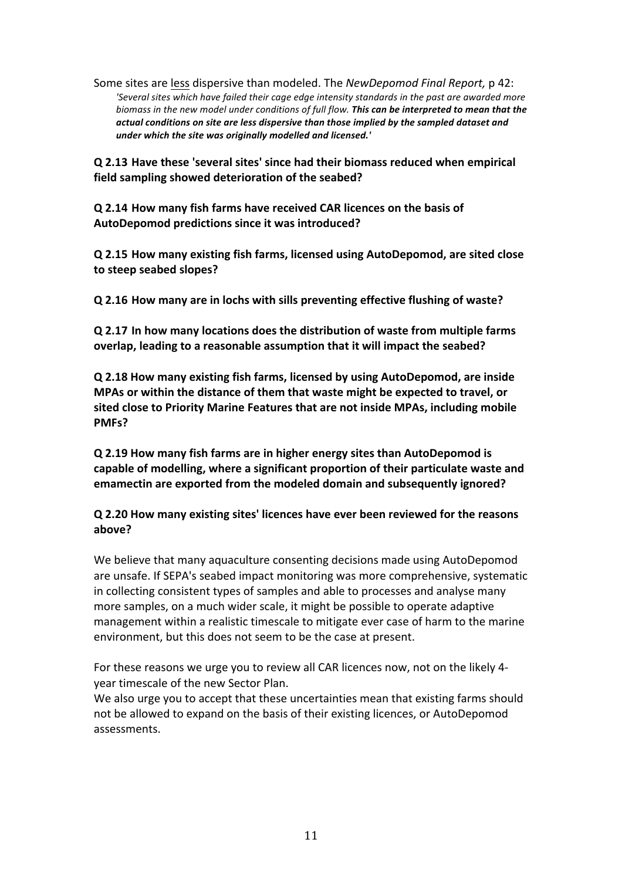Some sites are less dispersive than modeled. The *NewDepomod Final Report*, p 42: 'Several sites which have failed their cage edge intensity standards in the past are awarded more biomass in the new model under conditions of full flow. **This can be interpreted to mean that the** actual conditions on site are less dispersive than those implied by the sampled dataset and under which the site was originally modelled and licensed.'

**Q 2.13** Have these 'several sites' since had their biomass reduced when empirical field sampling showed deterioration of the seabed?

**Q 2.14 How many fish farms have received CAR licences on the basis of**  AutoDepomod predictions since it was introduced?

**Q 2.15 How many existing fish farms, licensed using AutoDepomod, are sited close**  to steep seabed slopes?

**Q 2.16** How many are in lochs with sills preventing effective flushing of waste?

**Q 2.17 In how many locations does the distribution of waste from multiple farms overlap, leading to a reasonable assumption that it will impact the seabed?** 

**Q 2.18 How many existing fish farms, licensed by using AutoDepomod, are inside MPAs or within the distance of them that waste might be expected to travel, or** sited close to Priority Marine Features that are not inside MPAs, including mobile **PMFs?**

**Q 2.19 How many fish farms are in higher energy sites than AutoDepomod is**  capable of modelling, where a significant proportion of their particulate waste and **emamectin are exported from the modeled domain and subsequently ignored?** 

**Q 2.20 How many existing sites' licences have ever been reviewed for the reasons above?**

We believe that many aquaculture consenting decisions made using AutoDepomod are unsafe. If SEPA's seabed impact monitoring was more comprehensive, systematic in collecting consistent types of samples and able to processes and analyse many more samples, on a much wider scale, it might be possible to operate adaptive management within a realistic timescale to mitigate ever case of harm to the marine environment, but this does not seem to be the case at present.

For these reasons we urge you to review all CAR licences now, not on the likely 4year timescale of the new Sector Plan.

We also urge you to accept that these uncertainties mean that existing farms should not be allowed to expand on the basis of their existing licences, or AutoDepomod assessments.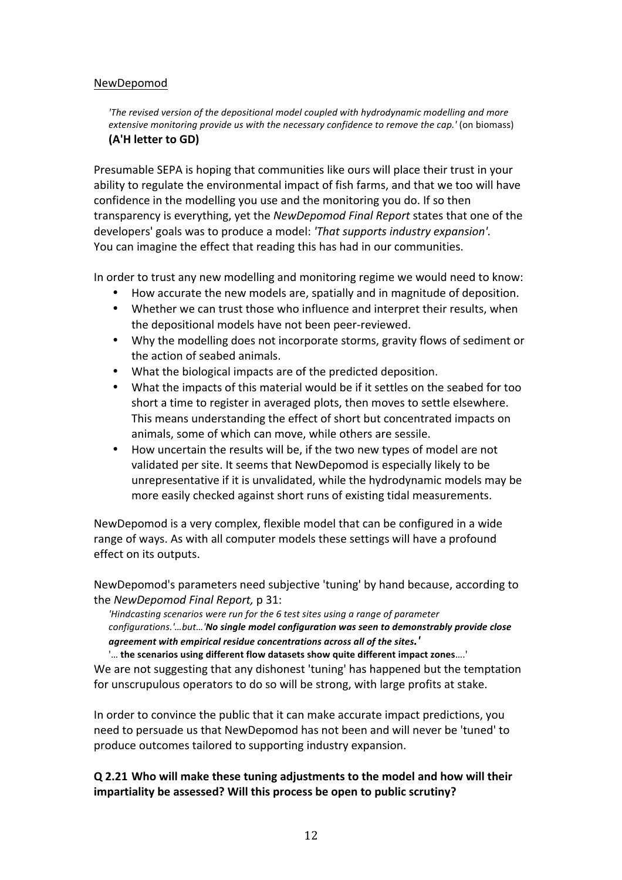#### NewDepomod

*'The revised version of the depositional model coupled with hydrodynamic modelling and more extensive monitoring provide us with the necessary confidence to remove the cap.'* (on biomass) **(A'H letter to GD)**

Presumable SEPA is hoping that communities like ours will place their trust in your ability to regulate the environmental impact of fish farms, and that we too will have confidence in the modelling you use and the monitoring you do. If so then transparency is everything, yet the *NewDepomod Final Report* states that one of the developers' goals was to produce a model: *'That supports industry expansion'*. You can imagine the effect that reading this has had in our communities.

In order to trust any new modelling and monitoring regime we would need to know:

- How accurate the new models are, spatially and in magnitude of deposition.
- Whether we can trust those who influence and interpret their results, when the depositional models have not been peer-reviewed.
- Why the modelling does not incorporate storms, gravity flows of sediment or the action of seabed animals.
- What the biological impacts are of the predicted deposition.
- What the impacts of this material would be if it settles on the seabed for too short a time to register in averaged plots, then moves to settle elsewhere. This means understanding the effect of short but concentrated impacts on animals, some of which can move, while others are sessile.
- How uncertain the results will be, if the two new types of model are not validated per site. It seems that NewDepomod is especially likely to be unrepresentative if it is unvalidated, while the hydrodynamic models may be more easily checked against short runs of existing tidal measurements.

NewDepomod is a very complex, flexible model that can be configured in a wide range of ways. As with all computer models these settings will have a profound effect on its outputs.

NewDepomod's parameters need subjective 'tuning' by hand because, according to the *NewDepomod Final Report*, p 31:

*'Hindcasting scenarios were run for the 6 test sites using a range of parameter* configurations.'...but...'*No* single model configuration was seen to demonstrably provide close *agreement with empirical residue concentrations across all of the sites.'*

'... the scenarios using different flow datasets show quite different impact zones....'

We are not suggesting that any dishonest 'tuning' has happened but the temptation for unscrupulous operators to do so will be strong, with large profits at stake.

In order to convince the public that it can make accurate impact predictions, you need to persuade us that NewDepomod has not been and will never be 'tuned' to produce outcomes tailored to supporting industry expansion.

### **Q 2.21 Who will make these tuning adjustments to the model and how will their impartiality be assessed? Will this process be open to public scrutiny?**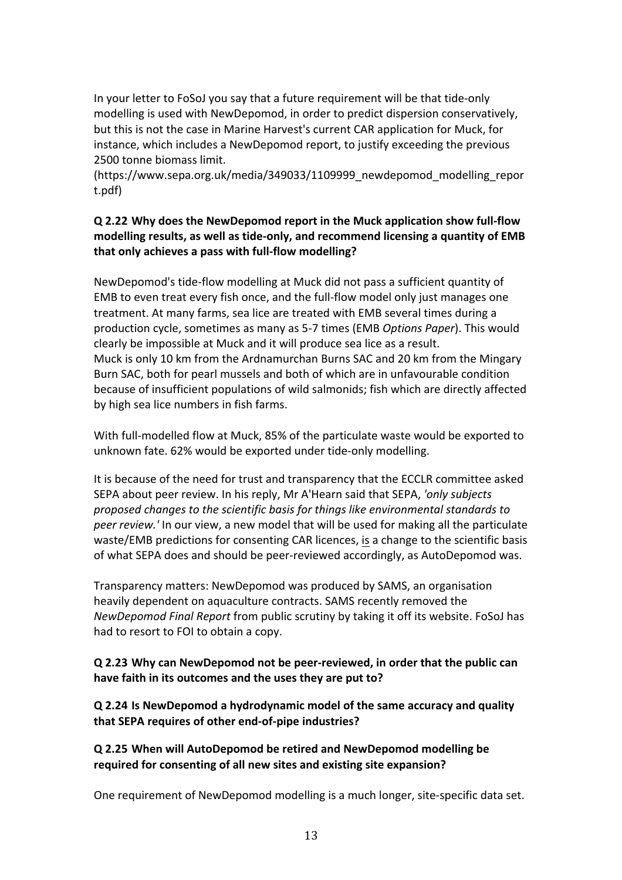In your letter to FoSoJ you say that a future requirement will be that tide-only modelling is used with NewDepomod, in order to predict dispersion conservatively, but this is not the case in Marine Harvest's current CAR application for Muck, for instance, which includes a NewDepomod report, to justify exceeding the previous 2500 tonne biomass limit.

(https://www.sepa.org.uk/media/349033/1109999\_newdepomod\_modelling\_repor t.pdf)

# **Q 2.22 Why does the NewDepomod report in the Muck application show full-flow** modelling results, as well as tide-only, and recommend licensing a quantity of EMB **that only achieves a pass with full-flow modelling?**

NewDepomod's tide-flow modelling at Muck did not pass a sufficient quantity of EMB to even treat every fish once, and the full-flow model only just manages one treatment. At many farms, sea lice are treated with EMB several times during a production cycle, sometimes as many as 5-7 times (EMB *Options Paper*). This would clearly be impossible at Muck and it will produce sea lice as a result. Muck is only 10 km from the Ardnamurchan Burns SAC and 20 km from the Mingary Burn SAC, both for pearl mussels and both of which are in unfavourable condition because of insufficient populations of wild salmonids; fish which are directly affected by high sea lice numbers in fish farms.

With full-modelled flow at Muck, 85% of the particulate waste would be exported to unknown fate. 62% would be exported under tide-only modelling.

It is because of the need for trust and transparency that the ECCLR committee asked SEPA about peer review. In his reply, Mr A'Hearn said that SEPA, 'only subjects *proposed changes to the scientific basis for things like environmental standards to peer review.'* In our view, a new model that will be used for making all the particulate waste/EMB predictions for consenting CAR licences, is a change to the scientific basis of what SEPA does and should be peer-reviewed accordingly, as AutoDepomod was.

Transparency matters: NewDepomod was produced by SAMS, an organisation heavily dependent on aquaculture contracts. SAMS recently removed the *NewDepomod Final Report* from public scrutiny by taking it off its website. FoSoJ has had to resort to FOI to obtain a copy.

**Q 2.23 Why can NewDepomod not be peer-reviewed, in order that the public can** have faith in its outcomes and the uses they are put to?

**Q 2.24** Is NewDepomod a hydrodynamic model of the same accuracy and quality that SEPA requires of other end-of-pipe industries?

**Q 2.25 When will AutoDepomod be retired and NewDepomod modelling be required** for consenting of all new sites and existing site expansion?

One requirement of NewDepomod modelling is a much longer, site-specific data set.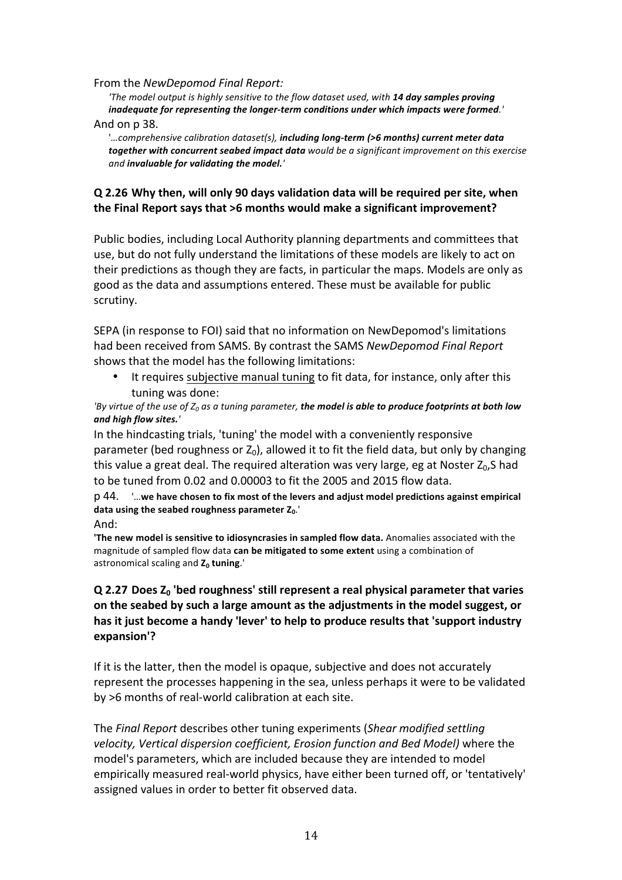#### From the *NewDepomod Final Report:*

*'The model output is highly sensitive to the flow dataset used, with* **14 day samples proving** inadequate for representing the longer-term conditions under which impacts were formed.<sup>'</sup>

#### And on p 38.

'*...*comprehensive calibration dataset(s), including long-term (>6 months) current meter data together with concurrent seabed impact data would be a significant improvement on this exercise and *invaluable* for validating the model.<sup>'</sup>

#### **Q 2.26 Why then, will only 90 days validation data will be required per site, when**  the Final Report says that >6 months would make a significant improvement?

Public bodies, including Local Authority planning departments and committees that use, but do not fully understand the limitations of these models are likely to act on their predictions as though they are facts, in particular the maps. Models are only as good as the data and assumptions entered. These must be available for public scrutiny.

SEPA (in response to FOI) said that no information on NewDepomod's limitations had been received from SAMS. By contrast the SAMS *NewDepomod Final Report* shows that the model has the following limitations:

It requires subjective manual tuning to fit data, for instance, only after this tuning was done:

'By virtue of the use of  $Z_0$  as a tuning parameter, **the model is able to produce footprints at both low** *and high flow sites.'*

In the hindcasting trials, 'tuning' the model with a conveniently responsive parameter (bed roughness or  $Z_0$ ), allowed it to fit the field data, but only by changing this value a great deal. The required alteration was very large, eg at Noster  $Z_0$ , S had to be tuned from 0.02 and 0.00003 to fit the 2005 and 2015 flow data.

p 44. '...we have chosen to fix most of the levers and adjust model predictions against empirical data using the seabed roughness parameter  $Z_0$ .<sup>'</sup>

**The new model is sensitive to idiosyncrasies in sampled flow data.** Anomalies associated with the magnitude of sampled flow data can be mitigated to some extent using a combination of astronomical scaling and Z<sub>0</sub> tuning.'

# **Q 2.27** Does  $Z_0$  'bed roughness' still represent a real physical parameter that varies **on the seabed by such a large amount as the adjustments in the model suggest, or** has it just become a handy 'lever' to help to produce results that 'support industry **expansion'?**

If it is the latter, then the model is opaque, subjective and does not accurately represent the processes happening in the sea, unless perhaps it were to be validated by >6 months of real-world calibration at each site.

The *Final Report* describes other tuning experiments (*Shear modified settling velocity, Vertical dispersion coefficient, Erosion function and Bed Model)* where the model's parameters, which are included because they are intended to model empirically measured real-world physics, have either been turned off, or 'tentatively' assigned values in order to better fit observed data.

And: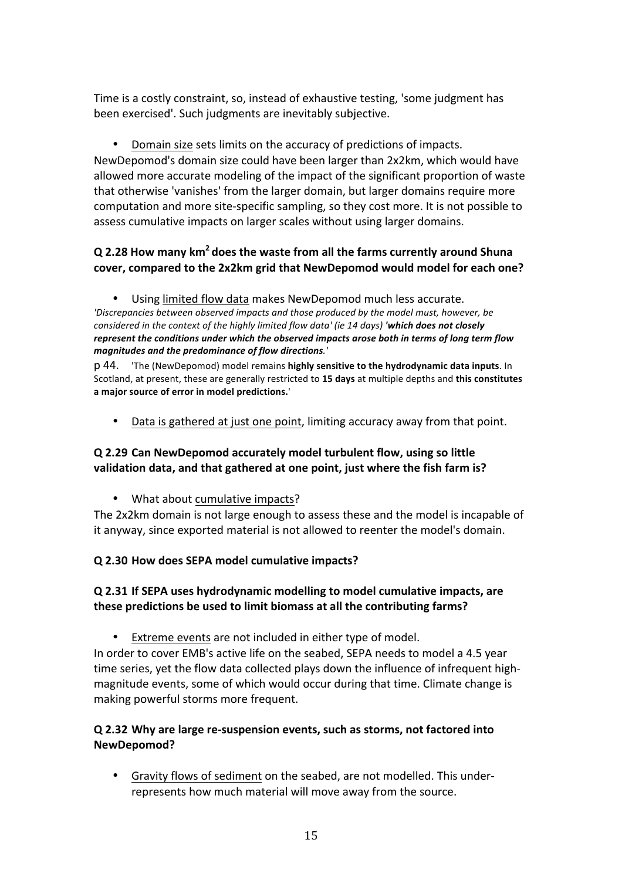Time is a costly constraint, so, instead of exhaustive testing, 'some judgment has been exercised'. Such judgments are inevitably subjective.

Domain size sets limits on the accuracy of predictions of impacts. NewDepomod's domain size could have been larger than 2x2km, which would have allowed more accurate modeling of the impact of the significant proportion of waste that otherwise 'vanishes' from the larger domain, but larger domains require more computation and more site-specific sampling, so they cost more. It is not possible to assess cumulative impacts on larger scales without using larger domains.

# **Q 2.28** How many km<sup>2</sup> does the waste from all the farms currently around Shuna cover, compared to the 2x2km grid that NewDepomod would model for each one?

Using limited flow data makes NewDepomod much less accurate. 'Discrepancies between observed impacts and those produced by the model must, however, be *considered in the context of the highly limited flow data' (ie 14 days) 'which does not closely* represent the conditions under which the observed impacts arose both in terms of long term flow *magnitudes and the predominance of flow directions.'*

p 44. 'The (NewDepomod) model remains highly sensitive to the hydrodynamic data inputs. In Scotland, at present, these are generally restricted to 15 days at multiple depths and this constitutes a major source of error in model predictions.'

Data is gathered at just one point, limiting accuracy away from that point.

# **Q 2.29 Can NewDepomod accurately model turbulent flow, using so little**  validation data, and that gathered at one point, just where the fish farm is?

• What about cumulative impacts?

The 2x2km domain is not large enough to assess these and the model is incapable of it anyway, since exported material is not allowed to reenter the model's domain.

### **Q 2.30 How does SEPA model cumulative impacts?**

# **Q 2.31 If SEPA uses hydrodynamic modelling to model cumulative impacts, are these predictions be used to limit biomass at all the contributing farms?**

• Extreme events are not included in either type of model.

In order to cover EMB's active life on the seabed, SEPA needs to model a 4.5 year time series, yet the flow data collected plays down the influence of infrequent highmagnitude events, some of which would occur during that time. Climate change is making powerful storms more frequent.

# **Q 2.32 Why are large re-suspension events, such as storms, not factored into NewDepomod?**

Gravity flows of sediment on the seabed, are not modelled. This underrepresents how much material will move away from the source.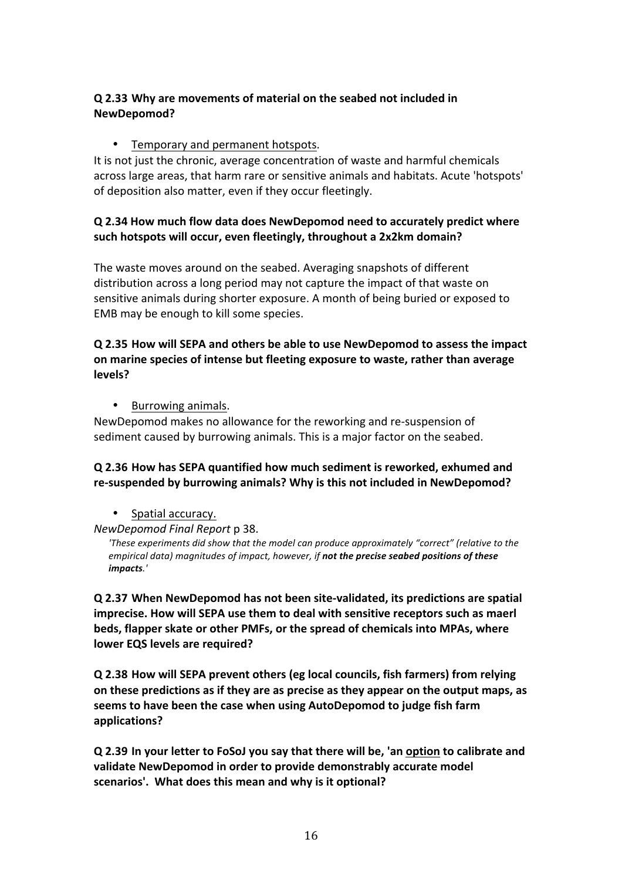# **Q 2.33 Why are movements of material on the seabed not included in NewDepomod?**

### • Temporary and permanent hotspots.

It is not just the chronic, average concentration of waste and harmful chemicals across large areas, that harm rare or sensitive animals and habitats. Acute 'hotspots' of deposition also matter, even if they occur fleetingly.

# **Q 2.34 How much flow data does NewDepomod need to accurately predict where**  such hotspots will occur, even fleetingly, throughout a 2x2km domain?

The waste moves around on the seabed. Averaging snapshots of different distribution across a long period may not capture the impact of that waste on sensitive animals during shorter exposure. A month of being buried or exposed to EMB may be enough to kill some species.

#### **Q 2.35 How will SEPA and others be able to use NewDepomod to assess the impact on marine species of intense but fleeting exposure to waste, rather than average levels?**

• Burrowing animals.

NewDepomod makes no allowance for the reworking and re-suspension of sediment caused by burrowing animals. This is a major factor on the seabed.

# **Q 2.36 How has SEPA quantified how much sediment is reworked, exhumed and**  re-suspended by burrowing animals? Why is this not included in NewDepomod?

- Spatial accuracy.
- *NewDepomod Final Report* p 38.

'These experiments did show that the model can produce approximately "correct" (relative to the *empirical data) magnitudes of impact, however, if not the precise seabed positions of these impacts.'*

**Q 2.37 When NewDepomod has not been site-validated, its predictions are spatial**  imprecise. How will SEPA use them to deal with sensitive receptors such as maerl **beds, flapper skate or other PMFs, or the spread of chemicals into MPAs, where lower EQS levels are required?** 

**Q 2.38 How will SEPA prevent others (eg local councils, fish farmers) from relying** on these predictions as if they are as precise as they appear on the output maps, as seems to have been the case when using AutoDepomod to judge fish farm **applications?** 

**Q 2.39 In your letter to FoSoJ you say that there will be, 'an option to calibrate and**  validate NewDepomod in order to provide demonstrably accurate model scenarios'. What does this mean and why is it optional?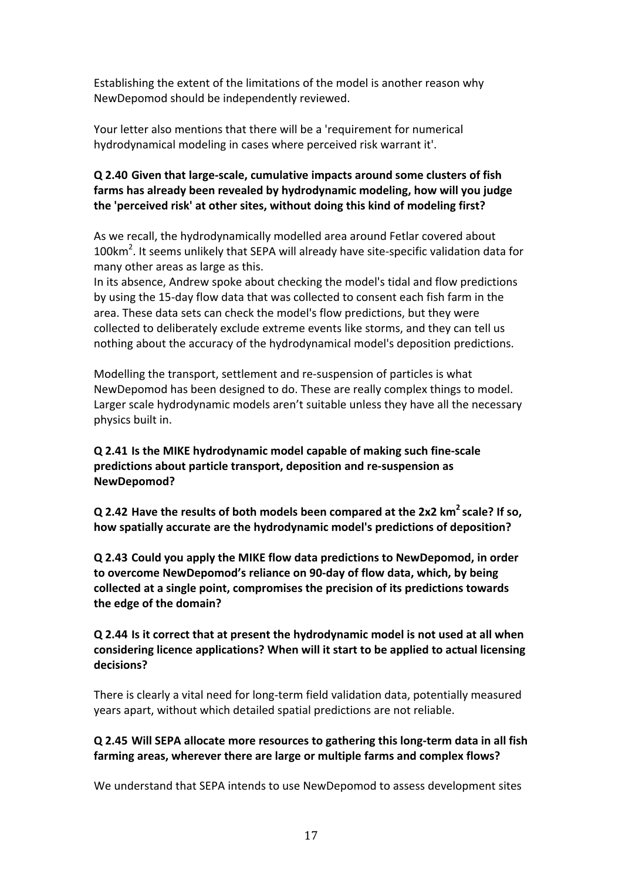Establishing the extent of the limitations of the model is another reason why NewDepomod should be independently reviewed.

Your letter also mentions that there will be a 'requirement for numerical hydrodynamical modeling in cases where perceived risk warrant it'.

# **Q 2.40 Given that large-scale, cumulative impacts around some clusters of fish**  farms has already been revealed by hydrodynamic modeling, how will you judge **the 'perceived risk' at other sites, without doing this kind of modeling first?**

As we recall, the hydrodynamically modelled area around Fetlar covered about  $100$ km<sup>2</sup>. It seems unlikely that SEPA will already have site-specific validation data for many other areas as large as this.

In its absence, Andrew spoke about checking the model's tidal and flow predictions by using the 15-day flow data that was collected to consent each fish farm in the area. These data sets can check the model's flow predictions, but they were collected to deliberately exclude extreme events like storms, and they can tell us nothing about the accuracy of the hydrodynamical model's deposition predictions.

Modelling the transport, settlement and re-suspension of particles is what NewDepomod has been designed to do. These are really complex things to model. Larger scale hydrodynamic models aren't suitable unless they have all the necessary physics built in.

**Q 2.41** Is the MIKE hydrodynamic model capable of making such fine-scale predictions about particle transport, deposition and re-suspension as **NewDepomod?**

**Q** 2.42 Have the results of both models been compared at the 2x2 km<sup>2</sup> scale? If so, how spatially accurate are the hydrodynamic model's predictions of deposition?

**Q 2.43 Could you apply the MIKE flow data predictions to NewDepomod, in order**  to overcome NewDepomod's reliance on 90-day of flow data, which, by being collected at a single point, compromises the precision of its predictions towards **the edge of the domain?**

**Q 2.44** Is it correct that at present the hydrodynamic model is not used at all when considering licence applications? When will it start to be applied to actual licensing **decisions?**

There is clearly a vital need for long-term field validation data, potentially measured years apart, without which detailed spatial predictions are not reliable.

# **Q 2.45** Will SEPA allocate more resources to gathering this long-term data in all fish farming areas, wherever there are large or multiple farms and complex flows?

We understand that SEPA intends to use NewDepomod to assess development sites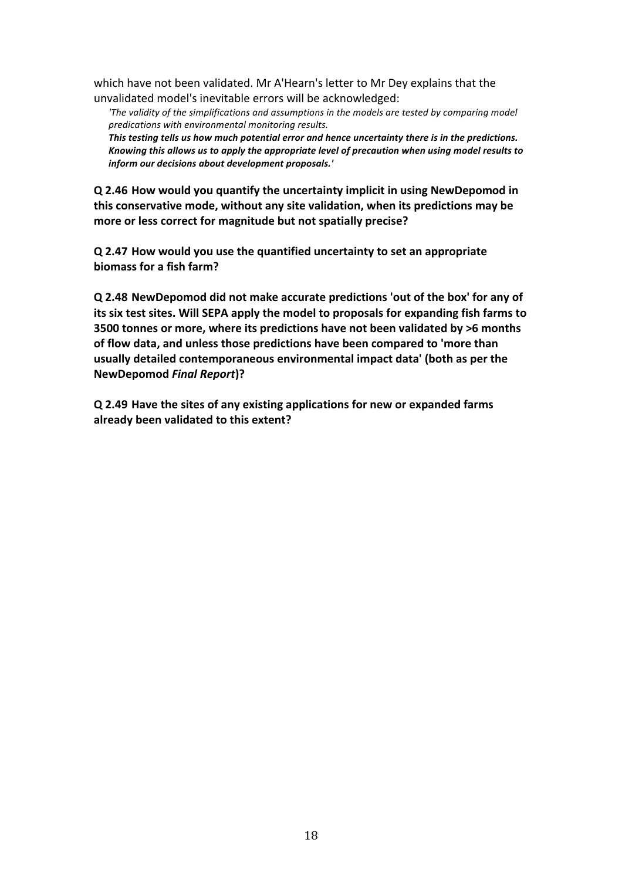which have not been validated. Mr A'Hearn's letter to Mr Dey explains that the unvalidated model's inevitable errors will be acknowledged:

'The validity of the simplifications and assumptions in the models are tested by comparing model *predications with environmental monitoring results.* This testing tells us how much potential error and hence uncertainty there is in the predictions.

Knowing this allows us to apply the appropriate level of precaution when using model results to *inform our decisions about development proposals.'* 

**Q 2.46** How would you quantify the uncertainty implicit in using NewDepomod in this conservative mode, without any site validation, when its predictions may be more or less correct for magnitude but not spatially precise?

**Q 2.47 How would you use the quantified uncertainty to set an appropriate biomass** for a fish farm?

**Q 2.48** NewDepomod did not make accurate predictions 'out of the box' for any of **its** six test sites. Will SEPA apply the model to proposals for expanding fish farms to **3500 tonnes or more, where its predictions have not been validated by >6 months** of flow data, and unless those predictions have been compared to 'more than usually detailed contemporaneous environmental impact data' (both as per the **NewDepomod** *Final Report***)?**

**Q 2.49** Have the sites of any existing applications for new or expanded farms already been validated to this extent?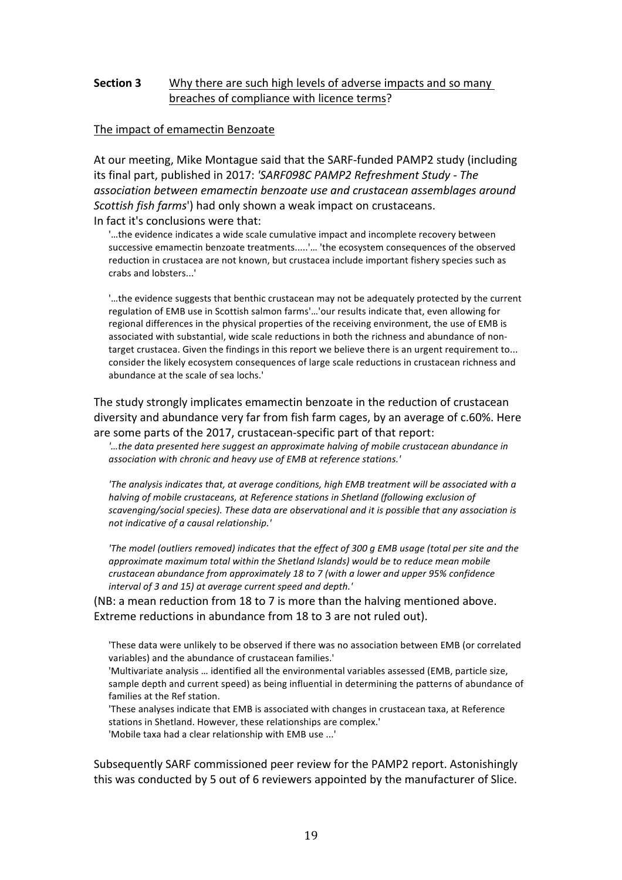### **Section 3** Why there are such high levels of adverse impacts and so many breaches of compliance with licence terms?

#### The impact of emamectin Benzoate

At our meeting, Mike Montague said that the SARF-funded PAMP2 study (including its final part, published in 2017: 'SARF098C PAMP2 Refreshment Study - The *association between emamectin benzoate use and crustacean assemblages around Scottish fish farms'*) had only shown a weak impact on crustaceans. In fact it's conclusions were that:

'...the evidence indicates a wide scale cumulative impact and incomplete recovery between successive emamectin benzoate treatments.....'... 'the ecosystem consequences of the observed reduction in crustacea are not known, but crustacea include important fishery species such as crabs and lobsters...' 

"...the evidence suggests that benthic crustacean may not be adequately protected by the current regulation of EMB use in Scottish salmon farms'...'our results indicate that, even allowing for regional differences in the physical properties of the receiving environment, the use of EMB is associated with substantial, wide scale reductions in both the richness and abundance of nontarget crustacea. Given the findings in this report we believe there is an urgent requirement to... consider the likely ecosystem consequences of large scale reductions in crustacean richness and abundance at the scale of sea lochs.'

The study strongly implicates emamectin benzoate in the reduction of crustacean diversity and abundance very far from fish farm cages, by an average of c.60%. Here are some parts of the 2017, crustacean-specific part of that report:

'...the data presented here suggest an approximate halving of mobile crustacean abundance in association with chronic and heavy use of EMB at reference stations.'

'The analysis indicates that, at average conditions, high EMB treatment will be associated with a *halving* of mobile crustaceans, at Reference stations in Shetland (following exclusion of scavenging/social species). These data are observational and it is possible that any association is not indicative of a causal relationship.'

*'The model (outliers removed) indicates that the effect of 300 q EMB usage (total per site and the approximate maximum total within the Shetland Islands)* would be to reduce mean mobile *crustacean abundance from approximately 18 to 7 (with a lower and upper 95% confidence* interval of 3 and 15) at average current speed and depth.'

(NB: a mean reduction from 18 to 7 is more than the halving mentioned above. Extreme reductions in abundance from 18 to 3 are not ruled out).

'These data were unlikely to be observed if there was no association between EMB (or correlated variables) and the abundance of crustacean families.'

'Multivariate analysis ... identified all the environmental variables assessed (EMB, particle size, sample depth and current speed) as being influential in determining the patterns of abundance of families at the Ref station.

'These analyses indicate that EMB is associated with changes in crustacean taxa, at Reference stations in Shetland. However, these relationships are complex.' 'Mobile taxa had a clear relationship with EMB use ...'

Subsequently SARF commissioned peer review for the PAMP2 report. Astonishingly this was conducted by 5 out of 6 reviewers appointed by the manufacturer of Slice.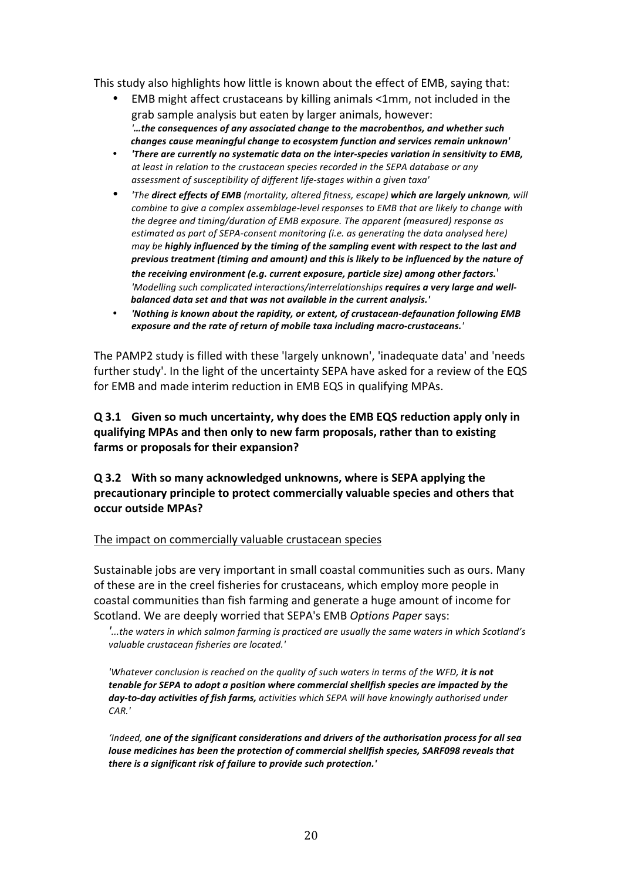This study also highlights how little is known about the effect of EMB, saying that:

- EMB might affect crustaceans by killing animals <1mm, not included in the grab sample analysis but eaten by larger animals, however: *'…the consequences of any associated change to the macrobenthos, and whether such changes cause meaningful change to ecosystem function and services remain unknown'*
- *'There are currently no systematic data on the inter-species variation in sensitivity to EMB,* at least in relation to the crustacean species recorded in the SEPA database or any assessment of susceptibility of different life-stages within a given taxa'
- *'The direct effects of EMB (mortality, altered fitness, escape)* which are largely unknown, will *combine to give a complex assemblage-level responses to EMB that are likely to change with* the degree and timing/duration of EMB exposure. The apparent (measured) response as *estimated as part of SEPA-consent monitoring (i.e. as generating the data analysed here) may* be **highly** influenced by the timing of the sampling event with respect to the last and previous treatment (timing and amount) and this is likely to be influenced by the nature of the receiving environment (e.g. current exposure, particle size) among other factors.<sup>'</sup> 'Modelling such complicated interactions/interrelationships requires a very large and wellbalanced data set and that was not available in the current analysis.'
- *'Nothing is known about the rapidity, or extent, of crustacean-defaunation following EMB* exposure and the rate of return of mobile taxa including macro-crustaceans.<sup>'</sup>

The PAMP2 study is filled with these 'largely unknown', 'inadequate data' and 'needs further study'. In the light of the uncertainty SEPA have asked for a review of the EQS for EMB and made interim reduction in EMB EQS in qualifying MPAs.

**Q** 3.1 Given so much uncertainty, why does the EMB EQS reduction apply only in qualifying MPAs and then only to new farm proposals, rather than to existing farms or proposals for their expansion?

**Q 3.2 With so many acknowledged unknowns, where is SEPA applying the**  precautionary principle to protect commercially valuable species and others that **occur outside MPAs?**

The impact on commercially valuable crustacean species

Sustainable jobs are very important in small coastal communities such as ours. Many of these are in the creel fisheries for crustaceans, which employ more people in coastal communities than fish farming and generate a huge amount of income for Scotland. We are deeply worried that SEPA's EMB *Options Paper* says:

*'...the* waters in which salmon farming is practiced are usually the same waters in which Scotland's *valuable crustacean fisheries are located.'*

*'Whatever conclusion is reached on the auality of such waters in terms of the WFD, it is not tenable for SEPA to adopt a position where commercial shellfish species are impacted by the* day-to-day activities of fish farms, activities which SEPA will have knowingly authorised under *CAR.'*

*'Indeed, one of the significant considerations and drivers of the authorisation process for all sea louse medicines has been the protection of commercial shellfish species, SARF098 reveals that* there is a significant risk of failure to provide such protection.'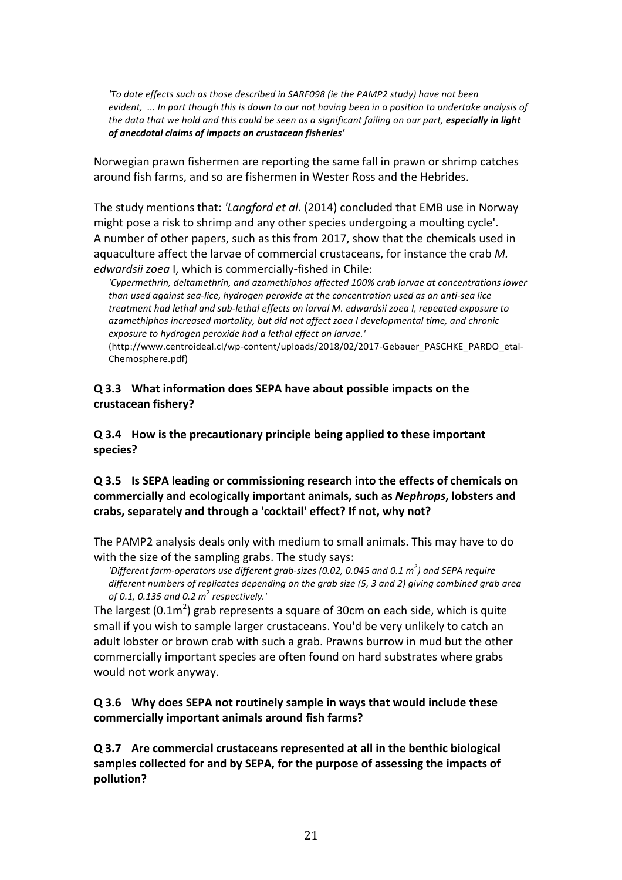'To date effects such as those described in SARF098 (ie the PAMP2 study) have not been *evident, ...* In part though this is down to our not having been in a position to undertake analysis of *the data that* we hold and this could be seen as a significant failing on our part, **especially in light** *of anecdotal claims of impacts on crustacean fisheries'*

Norwegian prawn fishermen are reporting the same fall in prawn or shrimp catches around fish farms, and so are fishermen in Wester Ross and the Hebrides.

The study mentions that: *'Langford et al.* (2014) concluded that EMB use in Norway might pose a risk to shrimp and any other species undergoing a moulting cycle'. A number of other papers, such as this from 2017, show that the chemicals used in aquaculture affect the larvae of commercial crustaceans, for instance the crab M. *edwardsii zoea* I, which is commercially-fished in Chile:

'Cypermethrin, deltamethrin, and azamethiphos affected 100% crab larvae at concentrations lower *than* used against sea-lice, hydrogen peroxide at the concentration used as an anti-sea lice treatment had lethal and sub-lethal effects on larval M. edwardsii zoea I, repeated exposure to *azamethiphos increased mortality, but did not affect zoea I developmental time, and chronic exposure to hydrogen peroxide had a lethal effect on larvae.'* 

(http://www.centroideal.cl/wp-content/uploads/2018/02/2017-Gebauer\_PASCHKE\_PARDO\_etal-Chemosphere.pdf) 

#### **Q** 3.3 What information does SEPA have about possible impacts on the **crustacean fishery?**

**Q** 3.4 How is the precautionary principle being applied to these important **species?**

# **Q 3.5 Is SEPA leading or commissioning research into the effects of chemicals on**  commercially and ecologically important animals, such as *Nephrops*, lobsters and crabs, separately and through a 'cocktail' effect? If not, why not?

The PAMP2 analysis deals only with medium to small animals. This may have to do with the size of the sampling grabs. The study says:

*'Different farm-operators use different grab-sizes (0.02, 0.045 and 0.1 m<sup>2</sup>) and SEPA require* different numbers of replicates depending on the grab size (5, 3 and 2) giving combined grab area *of 0.1, 0.135 and 0.2 m<sup>2</sup> respectively.'*

The largest (0.1m<sup>2</sup>) grab represents a square of 30cm on each side, which is quite small if you wish to sample larger crustaceans. You'd be very unlikely to catch an adult lobster or brown crab with such a grab. Prawns burrow in mud but the other commercially important species are often found on hard substrates where grabs would not work anyway.

### **Q** 3.6 Why does SEPA not routinely sample in ways that would include these commercially important animals around fish farms?

**Q** 3.7 Are commercial crustaceans represented at all in the benthic biological samples collected for and by SEPA, for the purpose of assessing the impacts of **pollution?**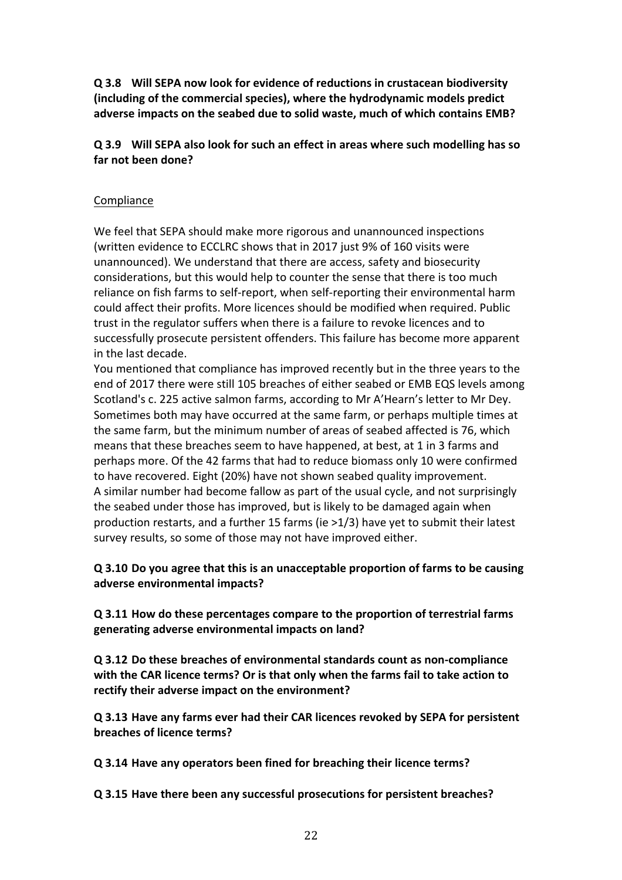**Q** 3.8 Will SEPA now look for evidence of reductions in crustacean biodiversity (including of the commercial species), where the hydrodynamic models predict adverse impacts on the seabed due to solid waste, much of which contains EMB?

**Q 3.9 Will SEPA also look for such an effect in areas where such modelling has so**  far not been done?

#### **Compliance**

We feel that SEPA should make more rigorous and unannounced inspections (written evidence to ECCLRC shows that in 2017 just 9% of 160 visits were unannounced). We understand that there are access, safety and biosecurity considerations, but this would help to counter the sense that there is too much reliance on fish farms to self-report, when self-reporting their environmental harm could affect their profits. More licences should be modified when required. Public trust in the regulator suffers when there is a failure to revoke licences and to successfully prosecute persistent offenders. This failure has become more apparent in the last decade.

You mentioned that compliance has improved recently but in the three years to the end of 2017 there were still 105 breaches of either seabed or EMB EQS levels among Scotland's c. 225 active salmon farms, according to Mr A'Hearn's letter to Mr Dey. Sometimes both may have occurred at the same farm, or perhaps multiple times at the same farm, but the minimum number of areas of seabed affected is 76, which means that these breaches seem to have happened, at best, at 1 in 3 farms and perhaps more. Of the 42 farms that had to reduce biomass only 10 were confirmed to have recovered. Eight (20%) have not shown seabed quality improvement. A similar number had become fallow as part of the usual cycle, and not surprisingly the seabed under those has improved, but is likely to be damaged again when production restarts, and a further 15 farms (ie  $>1/3$ ) have yet to submit their latest survey results, so some of those may not have improved either.

**Q** 3.10 Do you agree that this is an unacceptable proportion of farms to be causing **adverse environmental impacts?** 

**Q 3.11 How do these percentages compare to the proportion of terrestrial farms**  generating adverse environmental impacts on land?

**Q 3.12 Do these breaches of environmental standards count as non-compliance**  with the CAR licence terms? Or is that only when the farms fail to take action to rectify their adverse impact on the environment?

**Q 3.13 Have any farms ever had their CAR licences revoked by SEPA for persistent breaches of licence terms?** 

**Q 3.14 Have any operators been fined for breaching their licence terms?**

**Q 3.15 Have there been any successful prosecutions for persistent breaches?**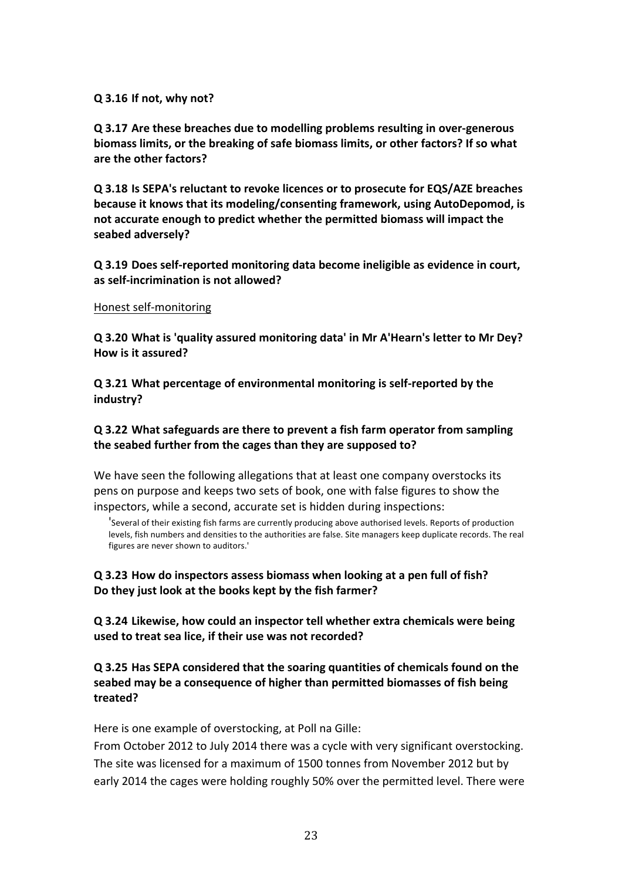#### **Q 3.16 If not, why not?**

**Q** 3.17 Are these breaches due to modelling problems resulting in over-generous biomass limits, or the breaking of safe biomass limits, or other factors? If so what are the other factors?

**Q 3.18** Is SEPA's reluctant to revoke licences or to prosecute for EQS/AZE breaches **because it knows that its modeling/consenting framework, using AutoDepomod, is** not accurate enough to predict whether the permitted biomass will impact the seabed adversely?

**Q 3.19 Does self-reported monitoring data become ineligible as evidence in court,**  as self-incrimination is not allowed?

#### Honest self-monitoring

**Q** 3.20 What is 'quality assured monitoring data' in Mr A'Hearn's letter to Mr Dey? **How is it assured?**

**Q 3.21 What percentage of environmental monitoring is self-reported by the industry?**

#### **Q 3.22 What safeguards are there to prevent a fish farm operator from sampling**  the seabed further from the cages than they are supposed to?

We have seen the following allegations that at least one company overstocks its pens on purpose and keeps two sets of book, one with false figures to show the inspectors, while a second, accurate set is hidden during inspections:

'Several of their existing fish farms are currently producing above authorised levels. Reports of production levels, fish numbers and densities to the authorities are false. Site managers keep duplicate records. The real figures are never shown to auditors.'

#### **Q 3.23 How do inspectors assess biomass when looking at a pen full of fish?** Do they just look at the books kept by the fish farmer?

**Q** 3.24 Likewise, how could an inspector tell whether extra chemicals were being **used to treat sea lice, if their use was not recorded?** 

### **Q 3.25 Has SEPA considered that the soaring quantities of chemicals found on the seabed may be a consequence of higher than permitted biomasses of fish being treated?**

Here is one example of overstocking, at Poll na Gille:

From October 2012 to July 2014 there was a cycle with very significant overstocking. The site was licensed for a maximum of 1500 tonnes from November 2012 but by early 2014 the cages were holding roughly 50% over the permitted level. There were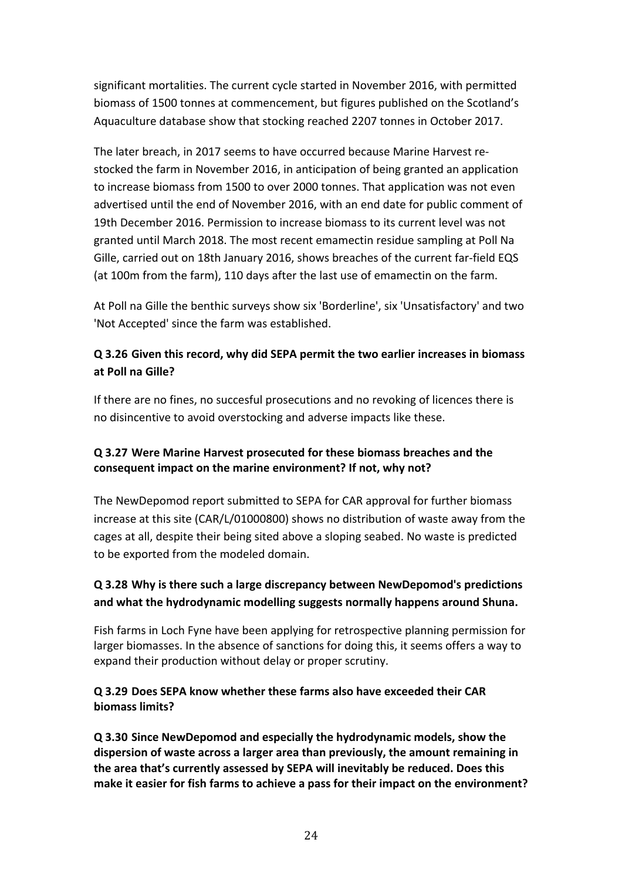significant mortalities. The current cycle started in November 2016, with permitted biomass of 1500 tonnes at commencement, but figures published on the Scotland's Aquaculture database show that stocking reached 2207 tonnes in October 2017.

The later breach, in 2017 seems to have occurred because Marine Harvest restocked the farm in November 2016, in anticipation of being granted an application to increase biomass from 1500 to over 2000 tonnes. That application was not even advertised until the end of November 2016, with an end date for public comment of 19th December 2016. Permission to increase biomass to its current level was not granted until March 2018. The most recent emamectin residue sampling at Poll Na Gille, carried out on 18th January 2016, shows breaches of the current far-field EQS (at 100m from the farm), 110 days after the last use of emamectin on the farm.

At Poll na Gille the benthic surveys show six 'Borderline', six 'Unsatisfactory' and two 'Not Accepted' since the farm was established.

# **Q 3.26 Given this record, why did SEPA permit the two earlier increases in biomass at Poll na Gille?**

If there are no fines, no succesful prosecutions and no revoking of licences there is no disincentive to avoid overstocking and adverse impacts like these.

# **Q 3.27 Were Marine Harvest prosecuted for these biomass breaches and the** consequent impact on the marine environment? If not, why not?

The NewDepomod report submitted to SEPA for CAR approval for further biomass increase at this site (CAR/L/01000800) shows no distribution of waste away from the cages at all, despite their being sited above a sloping seabed. No waste is predicted to be exported from the modeled domain.

# **Q** 3.28 Why is there such a large discrepancy between NewDepomod's predictions and what the hydrodynamic modelling suggests normally happens around Shuna.

Fish farms in Loch Fyne have been applying for retrospective planning permission for larger biomasses. In the absence of sanctions for doing this, it seems offers a way to expand their production without delay or proper scrutiny.

# **Q 3.29 Does SEPA know whether these farms also have exceeded their CAR biomass limits?**

**Q 3.30 Since NewDepomod and especially the hydrodynamic models, show the**  dispersion of waste across a larger area than previously, the amount remaining in the area that's currently assessed by SEPA will inevitably be reduced. Does this make it easier for fish farms to achieve a pass for their impact on the environment?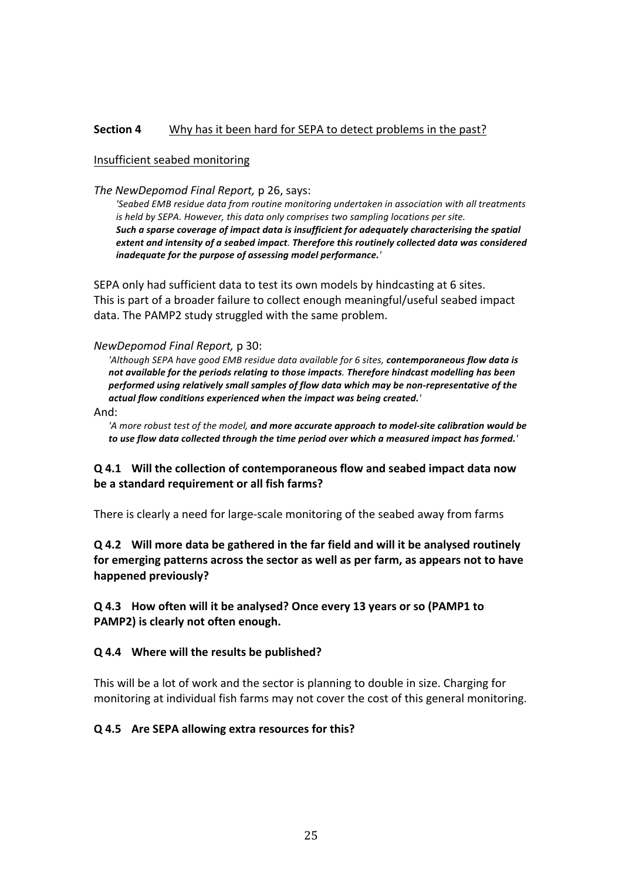#### **Section 4** Why has it been hard for SEPA to detect problems in the past?

#### Insufficient seabed monitoring

*The NewDepomod Final Report, p 26, says:* 

'Seabed EMB residue data from routine monitoring undertaken in association with all treatments *is* held by SEPA. However, this data only comprises two sampling locations per site. Such a sparse coverage of impact data is insufficient for adequately characterising the spatial *extent and intensity of a seabed impact. Therefore this routinely collected data was considered* inadequate for the purpose of assessing model performance.<sup>'</sup>

SEPA only had sufficient data to test its own models by hindcasting at 6 sites. This is part of a broader failure to collect enough meaningful/useful seabed impact data. The PAMP2 study struggled with the same problem.

#### *NewDepomod Final Report,* p 30:

'Although SEPA have good EMB residue data available for 6 sites, contemporaneous flow data is not available for the periods relating to those impacts. Therefore hindcast modelling has been performed using relatively small samples of flow data which may be non-representative of the *actual flow conditions experienced when the impact was being created.'*

#### And:

'A more robust test of the model, and more accurate approach to model-site calibration would be to use flow data collected through the time period over which a measured impact has formed.<sup>'</sup>

#### **Q** 4.1 Will the collection of contemporaneous flow and seabed impact data now be a standard requirement or all fish farms?

There is clearly a need for large-scale monitoring of the seabed away from farms

**Q** 4.2 Will more data be gathered in the far field and will it be analysed routinely for emerging patterns across the sector as well as per farm, as appears not to have **happened previously?** 

**Q 4.3 How often will it be analysed? Once every 13 years or so (PAMP1 to PAMP2)** is clearly not often enough.

#### **Q** 4.4 Where will the results be published?

This will be a lot of work and the sector is planning to double in size. Charging for monitoring at individual fish farms may not cover the cost of this general monitoring.

#### **Q 4.5 Are SEPA allowing extra resources for this?**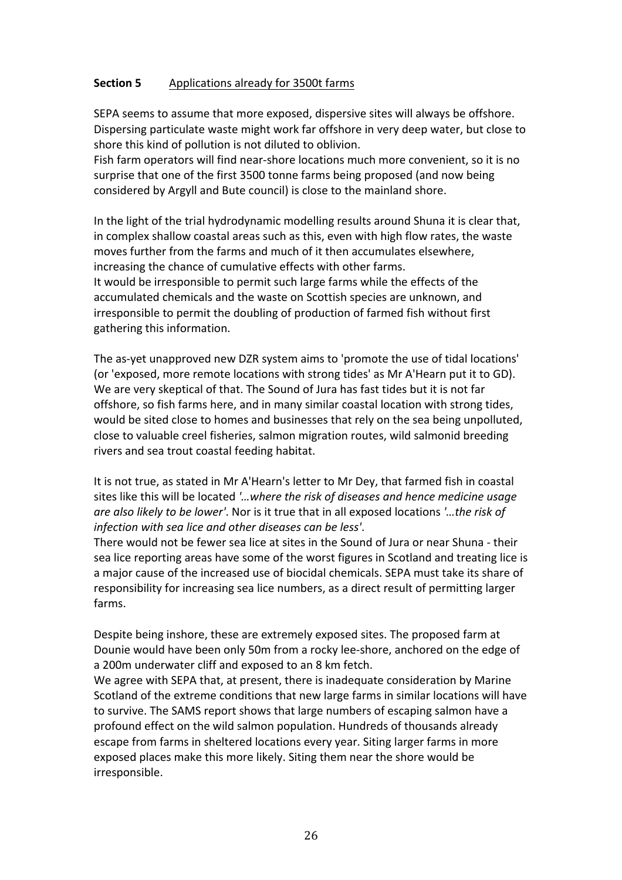### **Section 5** Applications already for 3500t farms

SEPA seems to assume that more exposed, dispersive sites will always be offshore. Dispersing particulate waste might work far offshore in very deep water, but close to shore this kind of pollution is not diluted to oblivion.

Fish farm operators will find near-shore locations much more convenient, so it is no surprise that one of the first 3500 tonne farms being proposed (and now being considered by Argyll and Bute council) is close to the mainland shore.

In the light of the trial hydrodynamic modelling results around Shuna it is clear that, in complex shallow coastal areas such as this, even with high flow rates, the waste moves further from the farms and much of it then accumulates elsewhere, increasing the chance of cumulative effects with other farms. It would be irresponsible to permit such large farms while the effects of the accumulated chemicals and the waste on Scottish species are unknown, and irresponsible to permit the doubling of production of farmed fish without first gathering this information.

The as-yet unapproved new DZR system aims to 'promote the use of tidal locations' (or 'exposed, more remote locations with strong tides' as Mr A'Hearn put it to GD). We are very skeptical of that. The Sound of Jura has fast tides but it is not far offshore, so fish farms here, and in many similar coastal location with strong tides, would be sited close to homes and businesses that rely on the sea being unpolluted, close to valuable creel fisheries, salmon migration routes, wild salmonid breeding rivers and sea trout coastal feeding habitat.

It is not true, as stated in Mr A'Hearn's letter to Mr Dey, that farmed fish in coastal sites like this will be located '...where the risk of diseases and hence medicine usage *are also likely to be lower'*. Nor is it true that in all exposed locations '...the risk of *infection with sea lice and other diseases can be less'*.

There would not be fewer sea lice at sites in the Sound of Jura or near Shuna - their sea lice reporting areas have some of the worst figures in Scotland and treating lice is a major cause of the increased use of biocidal chemicals. SEPA must take its share of responsibility for increasing sea lice numbers, as a direct result of permitting larger farms.

Despite being inshore, these are extremely exposed sites. The proposed farm at Dounie would have been only 50m from a rocky lee-shore, anchored on the edge of a 200m underwater cliff and exposed to an 8 km fetch.

We agree with SEPA that, at present, there is inadequate consideration by Marine Scotland of the extreme conditions that new large farms in similar locations will have to survive. The SAMS report shows that large numbers of escaping salmon have a profound effect on the wild salmon population. Hundreds of thousands already escape from farms in sheltered locations every year. Siting larger farms in more exposed places make this more likely. Siting them near the shore would be irresponsible.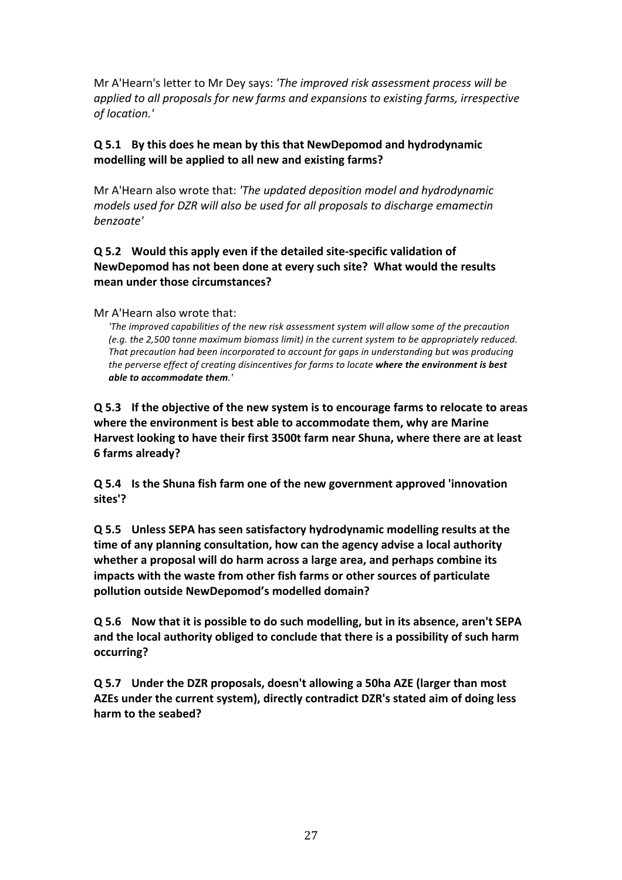Mr A'Hearn's letter to Mr Dey says: 'The improved risk assessment process will be *applied to all proposals for new farms and expansions to existing farms, irrespective of location.'*

# **Q 5.1 By this does he mean by this that NewDepomod and hydrodynamic**  modelling will be applied to all new and existing farms?

Mr A'Hearn also wrote that: *'The updated deposition model and hydrodynamic models* used for DZR will also be used for all proposals to discharge emamectin *benzoate'*

# **Q** 5.2 Would this apply even if the detailed site-specific validation of **NewDepomod has not been done at every such site? What would the results** mean under those circumstances?

#### Mr A'Hearn also wrote that:

'The improved capabilities of the new risk assessment system will allow some of the precaution *(e.g. the 2,500 tonne maximum biomass limit)* in the current system to be appropriately reduced. That precaution had been incorporated to account for gaps in understanding but was producing the perverse effect of creating disincentives for farms to locate where the environment is best *able to accommodate them.'*

**Q** 5.3 If the objective of the new system is to encourage farms to relocate to areas where the environment is best able to accommodate them, why are Marine Harvest looking to have their first 3500t farm near Shuna, where there are at least **6** farms already?

**Q** 5.4 **Is the Shuna fish farm one of the new government approved 'innovation sites'?**

**Q 5.5 Unless SEPA has seen satisfactory hydrodynamic modelling results at the time of any planning consultation, how can the agency advise a local authority** whether a proposal will do harm across a large area, and perhaps combine its **impacts with the waste from other fish farms or other sources of particulate pollution outside NewDepomod's modelled domain?** 

**Q** 5.6 Now that it is possible to do such modelling, but in its absence, aren't SEPA and the local authority obliged to conclude that there is a possibility of such harm **occurring?** 

**Q** 5.7 Under the DZR proposals, doesn't allowing a 50ha AZE (larger than most AZEs under the current system), directly contradict DZR's stated aim of doing less harm to the seabed?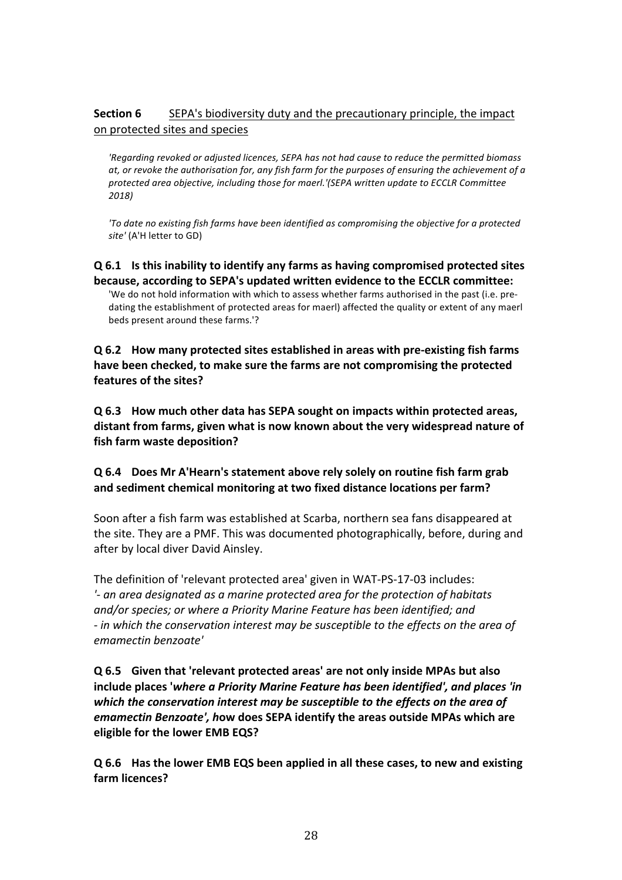# **Section 6** SEPA's biodiversity duty and the precautionary principle, the impact on protected sites and species

'Regarding revoked or adjusted licences, SEPA has not had cause to reduce the permitted biomass *at,* or revoke the authorisation for, any fish farm for the purposes of ensuring the achievement of a protected area objective, including those for maerl.'(SEPA written update to ECCLR Committee *2018)*

'To date no existing fish farms have been identified as compromising the objective for a protected site' (A'H letter to GD)

**Q** 6.1 Is this inability to identify any farms as having compromised protected sites **because, according to SEPA's updated written evidence to the ECCLR committee:** 'We do not hold information with which to assess whether farms authorised in the past (i.e. predating the establishment of protected areas for maerl) affected the quality or extent of any maerl beds present around these farms.'?

**Q** 6.2 How many protected sites established in areas with pre-existing fish farms have been checked, to make sure the farms are not compromising the protected features of the sites?

**Q** 6.3 How much other data has SEPA sought on impacts within protected areas, distant from farms, given what is now known about the very widespread nature of **fish farm waste deposition?**

### **Q** 6.4 Does Mr A'Hearn's statement above rely solely on routine fish farm grab and sediment chemical monitoring at two fixed distance locations per farm?

Soon after a fish farm was established at Scarba, northern sea fans disappeared at the site. They are a PMF. This was documented photographically, before, during and after by local diver David Ainsley.

The definition of 'relevant protected area' given in WAT-PS-17-03 includes: *'*- an area designated as a marine protected area for the protection of habitats and/or species; or where a Priority Marine Feature has been identified; and *-* in which the conservation interest may be susceptible to the effects on the area of *emamectin benzoate'*

**Q** 6.5 Given that 'relevant protected areas' are not only inside MPAs but also include places 'where a Priority Marine Feature has been identified', and places 'in which the conservation interest may be susceptible to the effects on the area of *emamectin Benzoate', how does SEPA identify the areas outside MPAs which are* **eligible for the lower EMB EQS?** 

**Q** 6.6 Has the lower EMB EQS been applied in all these cases, to new and existing **farm licences?**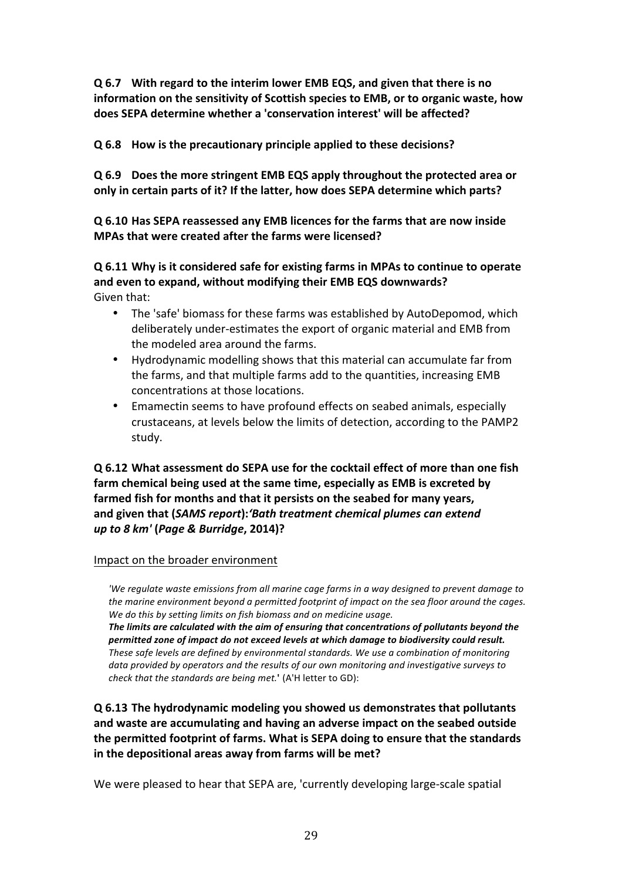**Q 6.7 With regard to the interim lower EMB EQS, and given that there is no**  information on the sensitivity of Scottish species to EMB, or to organic waste, how does SEPA determine whether a 'conservation interest' will be affected?

**Q** 6.8 How is the precautionary principle applied to these decisions?

**Q** 6.9 Does the more stringent EMB EQS apply throughout the protected area or only in certain parts of it? If the latter, how does SEPA determine which parts?

**Q 6.10 Has SEPA reassessed any EMB licences for the farms that are now inside MPAs that were created after the farms were licensed?** 

**Q** 6.11 Why is it considered safe for existing farms in MPAs to continue to operate and even to expand, without modifying their EMB EQS downwards? Given that:

- The 'safe' biomass for these farms was established by AutoDepomod, which deliberately under-estimates the export of organic material and EMB from the modeled area around the farms.
- Hydrodynamic modelling shows that this material can accumulate far from the farms, and that multiple farms add to the quantities, increasing EMB concentrations at those locations.
- Emamectin seems to have profound effects on seabed animals, especially crustaceans, at levels below the limits of detection, according to the PAMP2 study.

**Q** 6.12 What assessment do SEPA use for the cocktail effect of more than one fish farm chemical being used at the same time, especially as EMB is excreted by farmed fish for months and that it persists on the seabed for many years. **and given that (***SAMS report***):***'Bath treatment chemical plumes can extend up to 8 km'* **(***Page & Burridge***, 2014)?**

### Impact on the broader environment

'We regulate waste emissions from all marine cage farms in a way designed to prevent damage to *the marine environment beyond a permitted footprint of impact on the sea floor around the cages.* We do this by setting limits on fish biomass and on medicine usage.

The limits are calculated with the aim of ensuring that concentrations of pollutants beyond the permitted zone of impact do not exceed levels at which damage to biodiversity could result. These safe levels are defined by environmental standards. We use a combination of monitoring data provided by operators and the results of our own monitoring and investigative surveys to *check that the standards are being met.*<sup>'</sup> (A'H letter to GD):

**Q 6.13 The hydrodynamic modeling you showed us demonstrates that pollutants**  and waste are accumulating and having an adverse impact on the seabed outside **the permitted footprint of farms. What is SEPA doing to ensure that the standards in the depositional areas away from farms will be met?** 

We were pleased to hear that SEPA are, 'currently developing large-scale spatial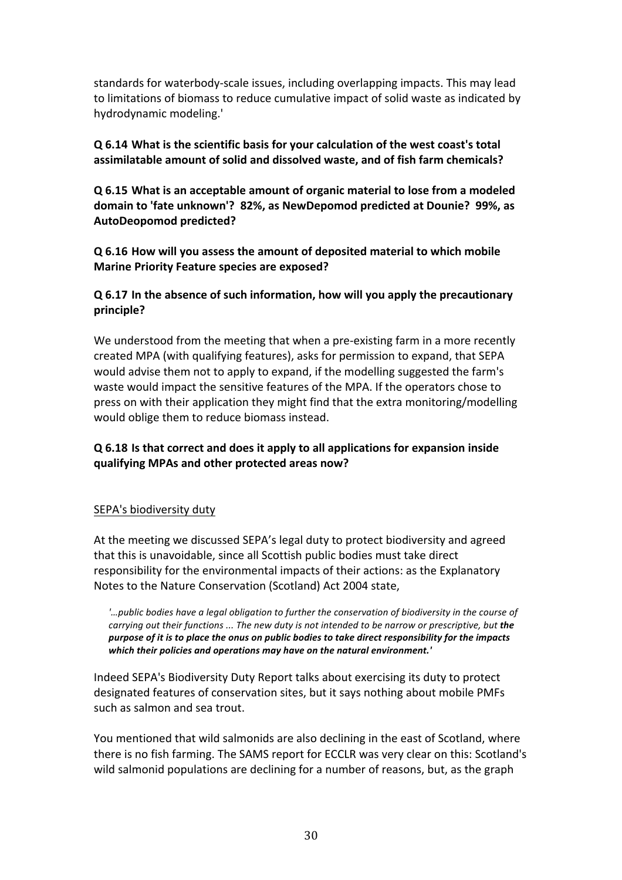standards for waterbody-scale issues, including overlapping impacts. This may lead to limitations of biomass to reduce cumulative impact of solid waste as indicated by hydrodynamic modeling.'

# **Q** 6.14 What is the scientific basis for your calculation of the west coast's total assimilatable amount of solid and dissolved waste, and of fish farm chemicals?

**Q** 6.15 What is an acceptable amount of organic material to lose from a modeled domain to 'fate unknown'? 82%, as NewDepomod predicted at Dounie? 99%, as **AutoDeopomod predicted?** 

**Q 6.16 How will you assess the amount of deposited material to which mobile Marine Priority Feature species are exposed?** 

# **Q** 6.17 In the absence of such information, how will you apply the precautionary **principle?**

We understood from the meeting that when a pre-existing farm in a more recently created MPA (with qualifying features), asks for permission to expand, that SEPA would advise them not to apply to expand, if the modelling suggested the farm's waste would impact the sensitive features of the MPA. If the operators chose to press on with their application they might find that the extra monitoring/modelling would oblige them to reduce biomass instead.

# **Q** 6.18 Is that correct and does it apply to all applications for expansion inside **qualifying MPAs and other protected areas now?**

### SEPA's biodiversity duty

At the meeting we discussed SEPA's legal duty to protect biodiversity and agreed that this is unavoidable, since all Scottish public bodies must take direct responsibility for the environmental impacts of their actions: as the Explanatory Notes to the Nature Conservation (Scotland) Act 2004 state,

*'…public bodies have a legal obligation to further the conservation of biodiversity in the course of carrying out their functions ... The new duty is not intended to be narrow or prescriptive, but the* purpose of it is to place the onus on public bodies to take direct responsibility for the impacts which their policies and operations may have on the natural environment.'

Indeed SEPA's Biodiversity Duty Report talks about exercising its duty to protect designated features of conservation sites, but it says nothing about mobile PMFs such as salmon and sea trout.

You mentioned that wild salmonids are also declining in the east of Scotland, where there is no fish farming. The SAMS report for ECCLR was very clear on this: Scotland's wild salmonid populations are declining for a number of reasons, but, as the graph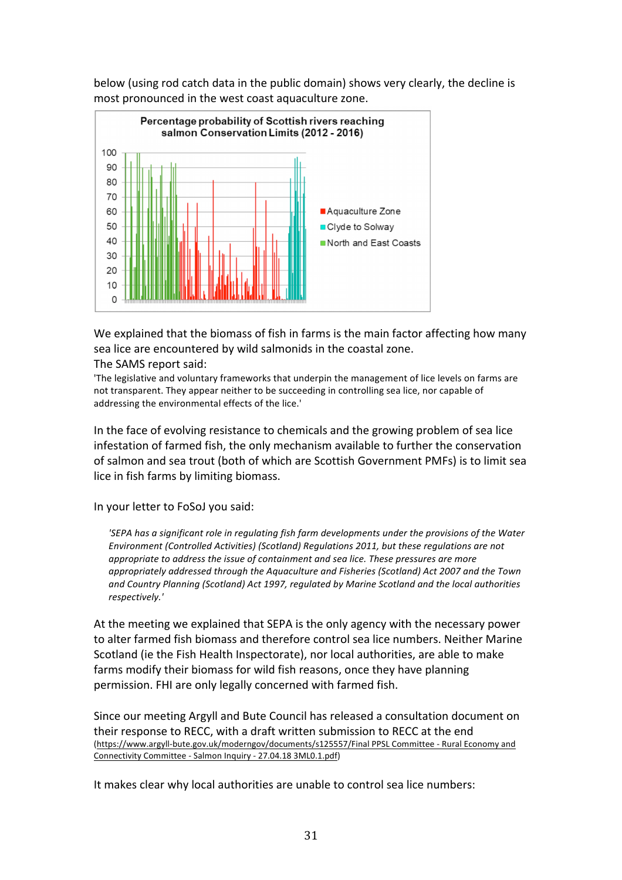

below (using rod catch data in the public domain) shows very clearly, the decline is most pronounced in the west coast aquaculture zone.

We explained that the biomass of fish in farms is the main factor affecting how many sea lice are encountered by wild salmonids in the coastal zone.

The SAMS report said:

'The legislative and voluntary frameworks that underpin the management of lice levels on farms are not transparent. They appear neither to be succeeding in controlling sea lice, nor capable of addressing the environmental effects of the lice.'

In the face of evolving resistance to chemicals and the growing problem of sea lice infestation of farmed fish, the only mechanism available to further the conservation of salmon and sea trout (both of which are Scottish Government PMFs) is to limit sea lice in fish farms by limiting biomass.

In your letter to FoSoJ you said:

*'SEPA* has a significant role in regulating fish farm developments under the provisions of the Water Environment (Controlled Activities) (Scotland) Regulations 2011, but these regulations are not appropriate to address the issue of containment and sea lice. These pressures are more appropriately addressed through the Aquaculture and Fisheries (Scotland) Act 2007 and the Town and Country Planning (Scotland) Act 1997, regulated by Marine Scotland and the local authorities *respectively.'* 

At the meeting we explained that SEPA is the only agency with the necessary power to alter farmed fish biomass and therefore control sea lice numbers. Neither Marine Scotland (ie the Fish Health Inspectorate), nor local authorities, are able to make farms modify their biomass for wild fish reasons, once they have planning permission. FHI are only legally concerned with farmed fish.

Since our meeting Argyll and Bute Council has released a consultation document on their response to RECC, with a draft written submission to RECC at the end (https://www.argyll-bute.gov.uk/moderngov/documents/s125557/Final PPSL Committee - Rural Economy and Connectivity Committee - Salmon Inquiry - 27.04.18 3ML0.1.pdf)

It makes clear why local authorities are unable to control sea lice numbers: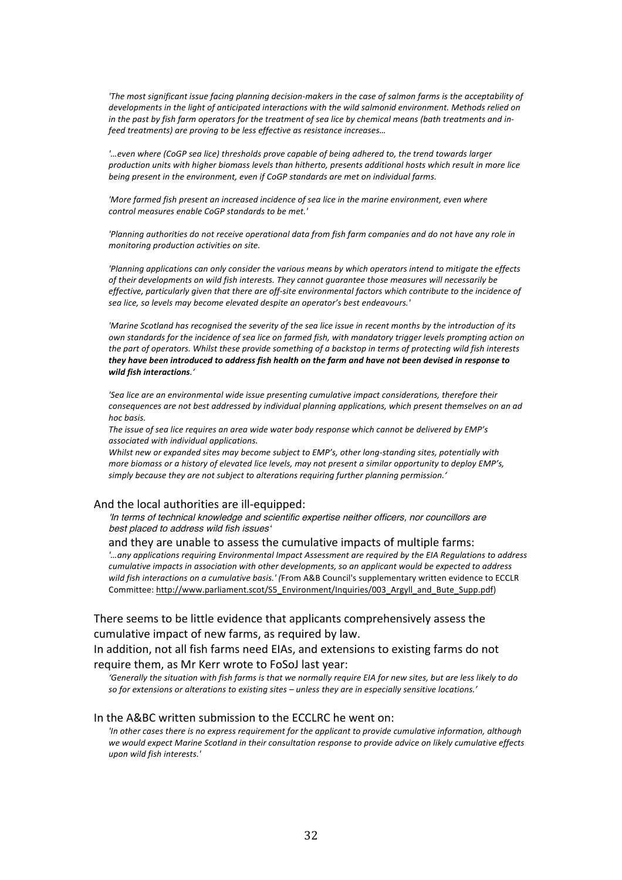'The most significant issue facing planning decision-makers in the case of salmon farms is the acceptability of *developments in the light of anticipated interactions with the wild salmonid environment. Methods relied on in* the past by fish farm operators for the treatment of sea lice by chemical means (bath treatments and in*feed treatments) are proving to be less effective as resistance increases…*

*'…even where (CoGP sea lice) thresholds prove capable of being adhered to, the trend towards larger production units with higher biomass levels than hitherto, presents additional hosts which result in more lice being present in the environment, even if CoGP standards are met on individual farms.* 

'More farmed fish present an increased incidence of sea lice in the marine environment, even where *control measures enable CoGP standards to be met.'*

'Planning authorities do not receive operational data from fish farm companies and do not have any role in *monitoring production activities on site.*

'Planning applications can only consider the various means by which operators intend to mitigate the effects of their developments on wild fish interests. They cannot guarantee those measures will necessarily be *effective, particularly given that there are off-site environmental factors which contribute to the incidence of sea lice, so levels may become elevated despite an operator's best endeavours.'*

*'Marine Scotland has recognised the severity of the sea lice issue in recent months by the introduction of its own* standards for the incidence of sea lice on farmed fish, with mandatory trigger levels prompting action on the part of operators. Whilst these provide something of a backstop in terms of protecting wild fish interests they have been introduced to address fish health on the farm and have not been devised in response to *wild fish interactions.'*

'Sea lice are an environmental wide issue presenting cumulative impact considerations, therefore their *consequences are not best addressed by individual planning applications, which present themselves on an ad hoc basis.* 

The issue of sea lice requires an area wide water body response which cannot be delivered by EMP's *associated* with individual applications.

Whilst new or expanded sites may become subject to EMP's, other long-standing sites, potentially with *more biomass or a history of elevated lice levels, may not present a similar opportunity to deploy EMP's,* simply because they are not subject to alterations requiring further planning permission.'

#### And the local authorities are ill-equipped:

'In terms of technical knowledge and scientific expertise neither officers, nor councillors are best placed to address wild fish issues'

and they are unable to assess the cumulative impacts of multiple farms: *'…any applications requiring Environmental Impact Assessment are required by the EIA Regulations to address cumulative impacts in association with other developments, so an applicant would be expected to address* wild fish interactions on a cumulative basis.' (From A&B Council's supplementary written evidence to ECCLR Committee: http://www.parliament.scot/S5\_Environment/Inquiries/003\_Argyll\_and\_Bute\_Supp.pdf)

There seems to be little evidence that applicants comprehensively assess the cumulative impact of new farms, as required by law.

In addition, not all fish farms need EIAs, and extensions to existing farms do not require them, as Mr Kerr wrote to FoSoJ last year:

'Generally the situation with fish farms is that we normally require EIA for new sites, but are less likely to do so for extensions or alterations to existing sites – unless they are in especially sensitive locations.'

#### In the A&BC written submission to the ECCLRC he went on:

*'In* other cases there is no express requirement for the applicant to provide cumulative information, although we would expect Marine Scotland in their consultation response to provide advice on likely cumulative effects *upon wild fish interests.'*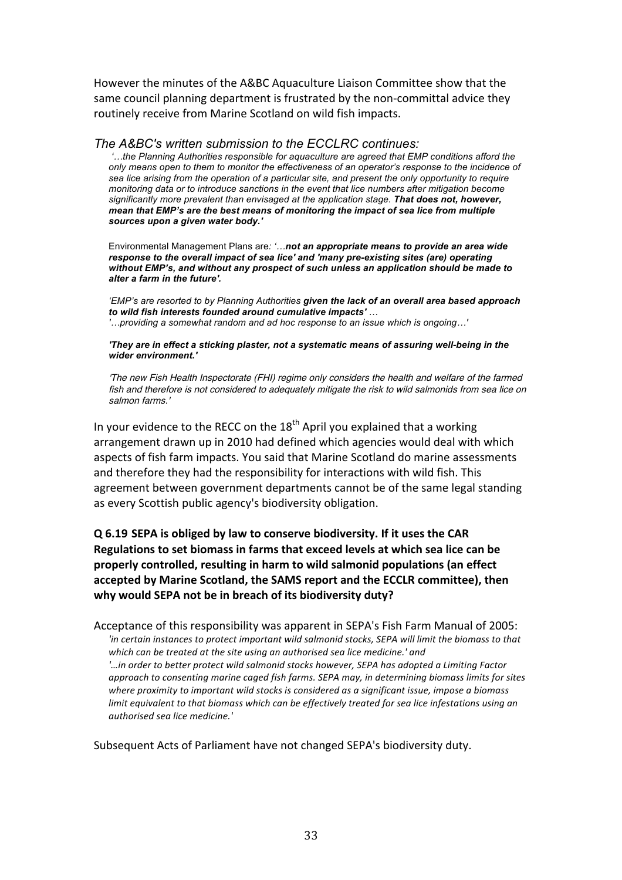However the minutes of the A&BC Aquaculture Liaison Committee show that the same council planning department is frustrated by the non-committal advice they routinely receive from Marine Scotland on wild fish impacts.

*The A&BC's written submission to the ECCLRC continues: '…the Planning Authorities responsible for aquaculture are agreed that EMP conditions afford the* 

*only means open to them to monitor the effectiveness of an operator's response to the incidence of sea lice arising from the operation of a particular site, and present the only opportunity to require monitoring data or to introduce sanctions in the event that lice numbers after mitigation become significantly more prevalent than envisaged at the application stage. That does not, however, mean that EMP's are the best means of monitoring the impact of sea lice from multiple sources upon a given water body.'*

Environmental Management Plans are*: '…not an appropriate means to provide an area wide response to the overall impact of sea lice' and 'many pre-existing sites (are) operating without EMP's, and without any prospect of such unless an application should be made to alter a farm in the future'.*

*'EMP's are resorted to by Planning Authorities given the lack of an overall area based approach to wild fish interests founded around cumulative impacts' … '…providing a somewhat random and ad hoc response to an issue which is ongoing…'*

*'They are in effect a sticking plaster, not a systematic means of assuring well-being in the wider environment.'*

'The new Fish Health Inspectorate (FHI) regime only considers the health and welfare of the farmed fish and therefore is not considered to adequately mitigate the risk to wild salmonids from sea lice on salmon farms.'

In your evidence to the RECC on the  $18<sup>th</sup>$  April you explained that a working arrangement drawn up in 2010 had defined which agencies would deal with which aspects of fish farm impacts. You said that Marine Scotland do marine assessments and therefore they had the responsibility for interactions with wild fish. This agreement between government departments cannot be of the same legal standing as every Scottish public agency's biodiversity obligation.

**Q 6.19 SEPA is obliged by law to conserve biodiversity. If it uses the CAR Regulations to set biomass in farms that exceed levels at which sea lice can be** properly controlled, resulting in harm to wild salmonid populations (an effect accepted by Marine Scotland, the SAMS report and the ECCLR committee), then **why would SEPA not be in breach of its biodiversity duty?** 

Acceptance of this responsibility was apparent in SEPA's Fish Farm Manual of 2005: *'in* certain instances to protect important wild salmonid stocks, SEPA will limit the biomass to that *which* can be treated at the site using an authorised sea lice medicine.' and *'...in* order to better protect wild salmonid stocks however, SEPA has adopted a Limiting Factor *approach to consenting marine caged fish farms. SEPA may, in determining biomass limits for sites* where proximity to important wild stocks is considered as a significant issue, impose a biomass *limit* equivalent to that biomass which can be effectively treated for sea lice infestations using an *authorised sea lice medicine.'*

Subsequent Acts of Parliament have not changed SEPA's biodiversity duty.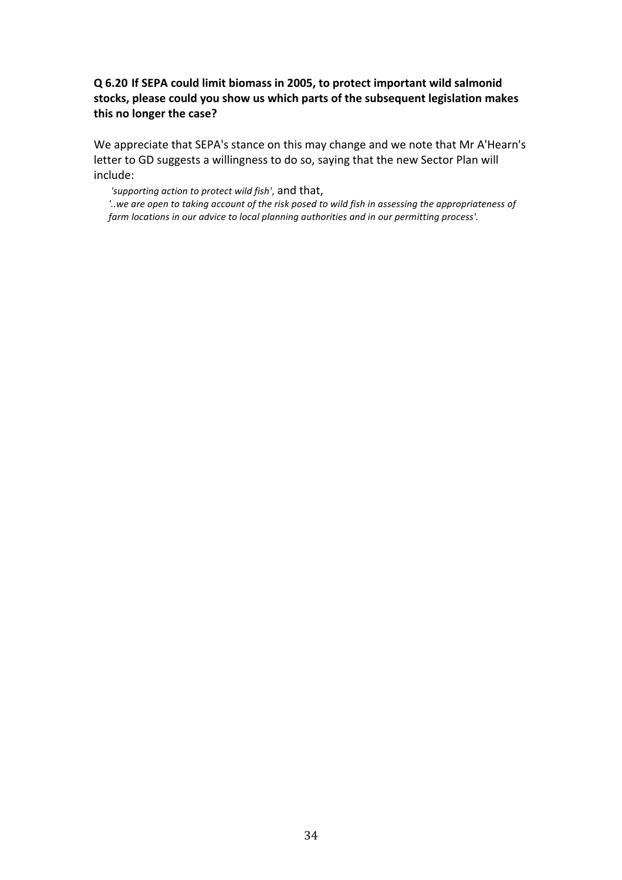# **Q** 6.20 If SEPA could limit biomass in 2005, to protect important wild salmonid stocks, please could you show us which parts of the subsequent legislation makes this no longer the case?

We appreciate that SEPA's stance on this may change and we note that Mr A'Hearn's letter to GD suggests a willingness to do so, saying that the new Sector Plan will include:

'supporting action to protect wild fish', and that,

'..we are open to taking account of the risk posed to wild fish in assessing the appropriateness of farm locations in our advice to local planning authorities and in our permitting process'.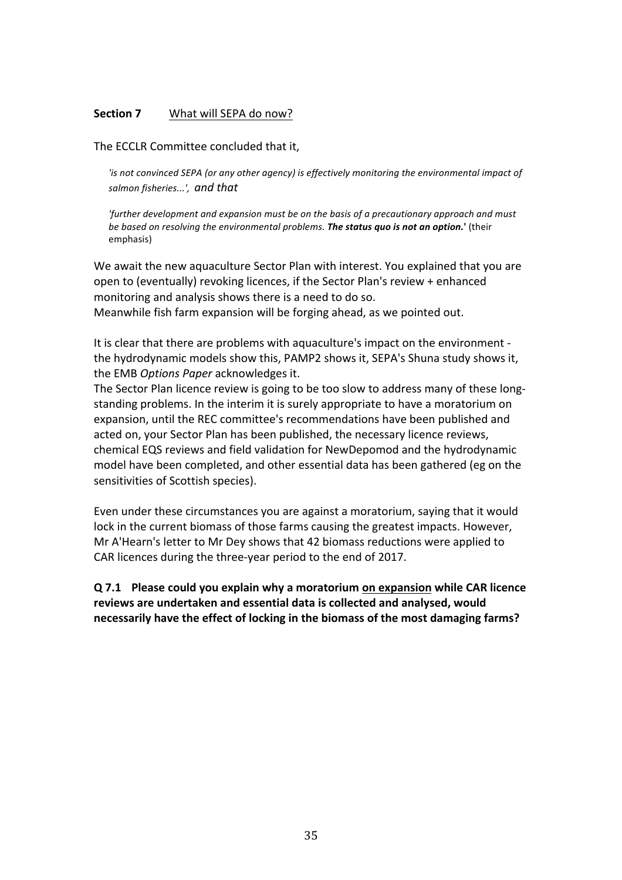#### **Section 7** What will SEPA do now?

The ECCLR Committee concluded that it,

*'is* not convinced SEPA (or any other agency) is effectively monitoring the environmental impact of *salmon fisheries...', and that*

*'further development and expansion must be on the basis of a precautionary approach and must be based on resolving the environmental problems. The status quo is not an option.*' (their emphasis)

We await the new aquaculture Sector Plan with interest. You explained that you are open to (eventually) revoking licences, if the Sector Plan's review + enhanced monitoring and analysis shows there is a need to do so. Meanwhile fish farm expansion will be forging ahead, as we pointed out.

It is clear that there are problems with aquaculture's impact on the environment the hydrodynamic models show this, PAMP2 shows it, SEPA's Shuna study shows it, the EMB Options Paper acknowledges it.

The Sector Plan licence review is going to be too slow to address many of these longstanding problems. In the interim it is surely appropriate to have a moratorium on expansion, until the REC committee's recommendations have been published and acted on, your Sector Plan has been published, the necessary licence reviews, chemical EQS reviews and field validation for NewDepomod and the hydrodynamic model have been completed, and other essential data has been gathered (eg on the sensitivities of Scottish species).

Even under these circumstances you are against a moratorium, saying that it would lock in the current biomass of those farms causing the greatest impacts. However, Mr A'Hearn's letter to Mr Dey shows that 42 biomass reductions were applied to CAR licences during the three-year period to the end of 2017.

**Q** 7.1 Please could you explain why a moratorium on expansion while CAR licence reviews are undertaken and essential data is collected and analysed, would **necessarily have the effect of locking in the biomass of the most damaging farms?**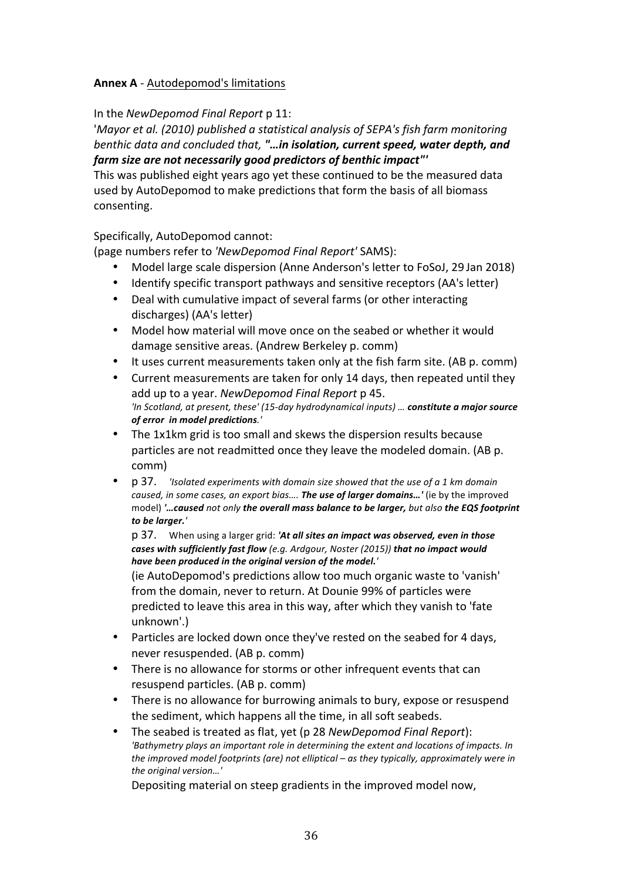# **Annex A** - Autodepomod's limitations

In the *NewDepomod Final Report* p 11:

*'Mayor et al.* (2010) published a statistical analysis of SEPA's fish farm monitoring *benthic data and concluded that, "...in isolation, current speed, water depth, and* farm size are not necessarily good predictors of benthic impact"'

This was published eight years ago yet these continued to be the measured data used by AutoDepomod to make predictions that form the basis of all biomass consenting.

Specifically, AutoDepomod cannot:

(page numbers refer to *'NewDepomod Final Report'* SAMS):

- Model large scale dispersion (Anne Anderson's letter to FoSoJ, 29 Jan 2018)
- Identify specific transport pathways and sensitive receptors (AA's letter)
- Deal with cumulative impact of several farms (or other interacting discharges) (AA's letter)
- Model how material will move once on the seabed or whether it would damage sensitive areas. (Andrew Berkeley p. comm)
- It uses current measurements taken only at the fish farm site. (AB p. comm)
- Current measurements are taken for only 14 days, then repeated until they add up to a year. *NewDepomod Final Report* p 45. *'In Scotland, at present, these' (15-day hydrodynamical inputs) ... constitute a major source of error in model predictions.'*
- The 1x1km grid is too small and skews the dispersion results because particles are not readmitted once they leave the modeled domain. (AB p. comm)
- p 37. *'Isolated experiments with domain size showed that the use of a 1 km domain caused, in some cases, an export bias....* **The use of larger domains...'** (ie by the improved model) '... caused not only the overall mass balance to be larger, but also the EQS footprint *to be larger.'*

p 37. When using a larger grid: 'At all sites an impact was observed, even in those cases with sufficiently fast flow (e.g. Ardgour, Noster (2015)) that no impact would *have been produced in the original version of the model.'*

(ie AutoDepomod's predictions allow too much organic waste to 'vanish' from the domain, never to return. At Dounie 99% of particles were predicted to leave this area in this way, after which they vanish to 'fate unknown'.)

- Particles are locked down once they've rested on the seabed for 4 days, never resuspended. (AB p. comm)
- There is no allowance for storms or other infrequent events that can resuspend particles. (AB p. comm)
- There is no allowance for burrowing animals to bury, expose or resuspend the sediment, which happens all the time, in all soft seabeds.
- The seabed is treated as flat, yet (p 28 *NewDepomod Final Report*): 'Bathymetry plays an important role in determining the extent and locations of impacts. In *the improved model footprints (are) not elliptical – as they typically, approximately were in the original version…'*

Depositing material on steep gradients in the improved model now.